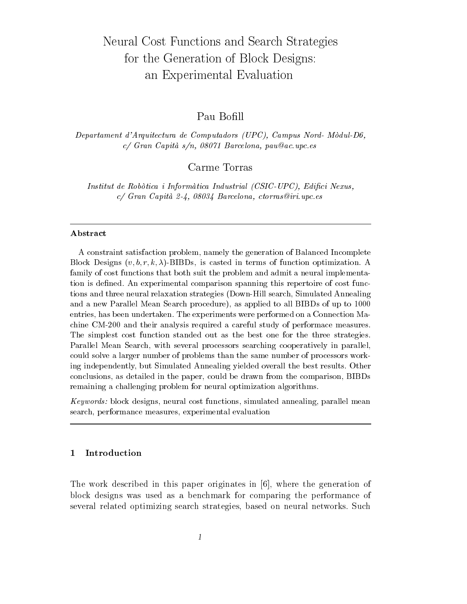# Neural Cost Functions and Search Strategies Strategies and Search Strategies Strategies and Search Strategies for the Generation of Block Designs and Experimental Experimental Experimental Experimental Experimental Experimental Experimental Experimental Exp

## Pau Bofill

Departament dArquitectura de Computadors -UPC Campus Nord ModulD r, steed where it is our formed in the part part of the steed

Carme Torras

Institut de Robotica i Informatica Industrial -CSICUPC Edici Nexus c, crime cwp ven a gran coolog memorial carrier and crimpared

A constraint satisfaction problem namely the generation of Balanced Incomplete  $\mathbf{B}$  room  $\mathbf{B}$  constructed in terms of function optimization  $\mathbf{A}$ family of cost functions that both suit the problem and admit a neural implementa tion is defined. An experimental comparison spanning this repertoire of cost functions and three neural relaxation strategies -DownHill search Simulated Annealing and a new Parallel Mean Search procedure), as applied to all BIBDs of up to 1000 entries has been undertaken The experiments were performed on a Connection Ma chine CM-200 and their analysis required a careful study of performace measures. The simplest cost function standed out as the best one for the three strategies Parallel Mean Search, with several processors searching cooperatively in parallel, could solve a larger number of problems than the same number of processors work ing independently but Simulated Annealing yielded overall the best results Other conclusions, as detailed in the paper, could be drawn from the comparison, BIBDs remaining a challenging problem for neural optimization algorithms

Keywords: block designs, neural cost functions, simulated annealing, parallel mean search, performance measures, experimental evaluation

#### $\mathbf{1}$ Introduction

The work described in this paper originates in - where the generation of block designs was used as a benchmark for comparing the performance of several related optimizing search strategies, based on neural networks. Such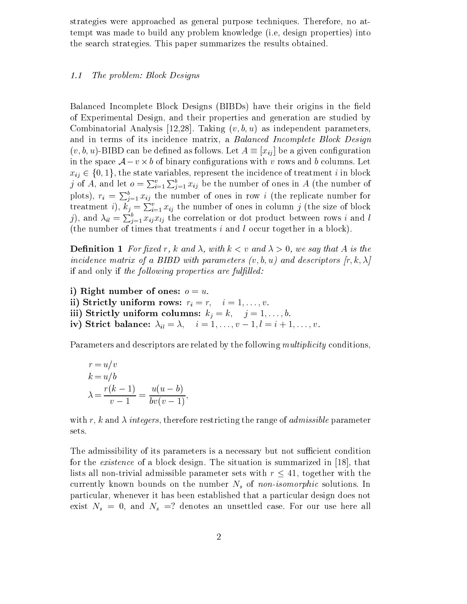strategies were approached as general purpose techniques. Therefore, no attempt was made to build any problem knowledge (i.e. design properties) into the search strategies This paper summarizes the results obtained

#### $1.1$ The problem: Block Designs

Balanced Incomplete Block Designs (BIBDs) have their origins in the field of Experimental Design, and their properties and generation are studied by Combinatorial Analysis  Taking v b u as independent parameters and in terms of its incidence matrix, a Balanced Incomplete Block Design  $(v, b, u)$ -BIBD can be defined as follows. Let  $A \equiv [x_{ij}]$  be a given configuration in the space A - v b of binary con gurations with v rows and b columns Let rij te state van die state van die indicidence of treatment in die indicident in block in die in die oorderste *j* of A, and let  $o = \sum_{i=1}^{\infty} \sum_{j=1}^{\infty} x_{ij}$  be the number of ones in A (the number of plots),  $r_i = \sum_{i=1} x_{ij}$  the number of ones in row  $i$  (the replicate number for treatment i),  $k_j = \sum_{i=1}^v x_{ij}$  the number of ones in column j (the size of block j), and  $\lambda_{il} = \sum_{j=1}^r x_{ij} x_{lj}$  the correlation or dot product between rows i and l (the number of times that treatments  $i$  and  $l$  occur together in a block).

De-nition For xed r k and - with kv and - we say that A is the incidence matrix of a BIBD with parameters v b u and descriptors r k if and only if the following properties are fulfilled:

i) Right number of ones:  $o = u$ . ii Strictly uniform rows right and resources risk and resources risk and resources risk and resources and reso ii iii strictly <del>understand columns and</del> the large strictly the strictly of the strictly of the strictly of the s if and it is a strict balance of the strict balance  $\mu$  is a strict balance of  $\mu$ 

Parameters and descriptors are related by the following *multiplicity* conditions,

$$
r = u/v
$$
  
\n
$$
k = u/b
$$
  
\n
$$
\lambda = \frac{r(k-1)}{v-1} = \frac{u(u-b)}{bv(v-1)},
$$

with restriction restricting the restriction of administration of administration parameters of administration sets

The admissibility of its parameters is a necessary but not sufficient condition for the existence of a block design The situation is summarized in  $\mathbf{f}$  that is summarized in  $\mathbf{f}$ lists all nontrivial admissible parameter sets with r together with the currently commenters on the number  $\sim$  on the number of  $\sim$   $\sigma$  of the solutions  $\rho$  are non-there is no the solutions in the solution of  $\sim$ particular whenever it has been established that a particular design does not exist  $N_s = 0$ , and  $N_s = ?$  denotes an unsettled case. For our use here all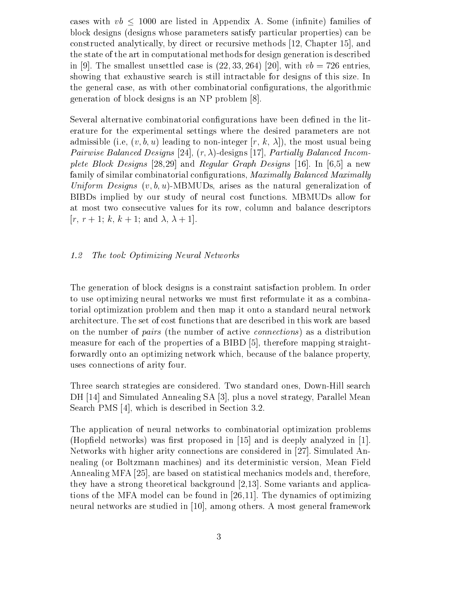cases with a some interesting in Appendix A Some in Appendix A Some in Appendix A Some in Appendix A Some block designs (designs whose parameters satisfy particular properties) can be constructed analytically by direct or recursive methods in party recuperts at  $\mathbf{r}$ the state of the art in computational methods for design generation is described in The smallest unsettled case is - with vb - entries showing that exhaustive search is still intractable for designs of this size In the general case, as with other combinatorial configurations, the algorithmic generation of block designs is an NP problem 

Several alternative combinatorial configurations have been defined in the literature for the experimental settings where the desired parameters are not admissible ie v b u leading to noninteger r k - the most usual being Pairwise Balanced Designs r -designs Partial ly Balanced Incom plete Block Designs  and Regular Graph Designs - In - a new family of similar combinatorial configurations, Maximally Balanced Maximally Uniform Designs  $(v, b, u)$ -MBMUDs, arises as the natural generalization of BIBDs implied by our study of neural cost functions MBMUDs allow for at most two consecutive values for its row, column and balance descriptors r r k k and - -

#### 1.2 The tool: Optimizing Neural Networks

The generation of block designs is a constraint satisfaction problem In order to use optimizing neural networks we must first reformulate it as a combinatorial optimization problem and then map it onto a standard neural network architecture The set of cost functions that are described in this work are based on the number of pairs (the number of active *connections*) as a distribution measure for each of the properties of a BIBD  $[5]$ , therefore mapping straightforwardly onto an optimizing network which, because of the balance property, uses connections of arity four

Three search strategies are considered. Two standard ones, Down-Hill search  $\mathcal{L}$  . The Simulated Annealing Sa  $\mathcal{L}$  strategy Parallel Mean  $\mathcal{L}$  and  $\mathcal{L}$  are not strategy parallel Mean  $\mathcal{L}$ Search PMS  $[4]$ , which is described in Section 3.2.

The application of neural networks to combinatorial optimization problems , and is definition and in the second in the second in the second in the second in the second in the second in Networks with higher arity connections are considered in  $[27]$ . Simulated Annealing (or Boltzmann machines) and its deterministic version, Mean Field Annealing MFA [25], are based on statistical mechanics models and, therefore, they have a strong theoretical background Some variants and applica tions of the MFA model can be found in a model can partner, and in provided in - processing, the dynamics of o neural networks are studied in among others A most general framework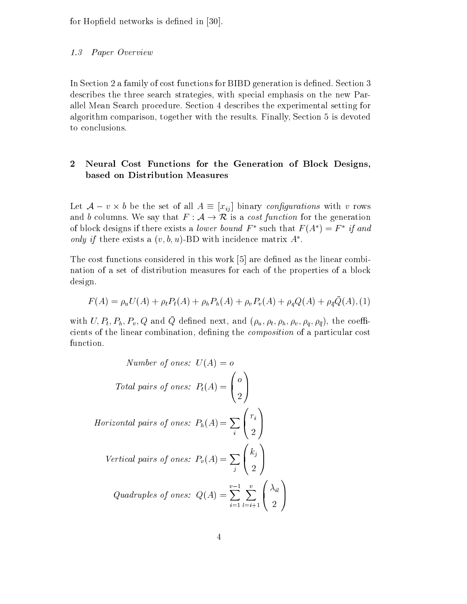for Hopfield networks is defined in  $[30]$ .

#### $1.3\,$  Paper Overview

In Section 2 a family of cost functions for BIBD generation is defined. Section  $3$ describes the three search strategies with special emphasis on the new Par allel Mean Search procedure. Section 4 describes the experimental setting for algorithm comparison, together with the results. Finally, Section 5 is devoted to conclusions

### Neural Cost Functions for the Generation of Block Designs based on Distribution Measures

 $\blacksquare$  and  $\blacksquare$  and set of all  $\blacksquare$  binary congurations with variable  $\blacksquare$  . The set of  $\blacksquare$ and b columns. We say that  $F : A \to \mathcal{R}$  is a *cost function* for the generation of block designs if there exists a *tower bound F* such that  $F(A) = F - \eta$  and *only if* there exists a  $(v, 0, u)$ -DD with incidence matrix  $A$ .

The cost functions considered in this work  $[5]$  are defined as the linear combination of a set of distribution measures for each of the properties of a block design

$$
F(A) = \rho_u U(A) + \rho_t P_t(A) + \rho_h P_h(A) + \rho_v P_v(A) + \rho_q Q(A) + \rho_{\bar{q}} \bar{Q}(A),
$$
(1)

with  $U, P_t, P_h, P_v, Q$  and  $\overline{Q}$  defined next, and  $(\rho_u, \rho_t, \rho_h, \rho_v, \rho_q, \rho_{\overline{q}})$ , the coefficients of the linear combination, defining the *composition* of a particular cost function

Number of ones: 
$$
U(A) = o
$$
  
\nTotal pairs of ones:  $P_t(A) = \begin{pmatrix} o \\ 2 \end{pmatrix}$   
\nHorizontal pairs of ones:  $P_h(A) = \sum_i \begin{pmatrix} r_i \\ 2 \end{pmatrix}$   
\nVertical pairs of ones:  $P_v(A) = \sum_j \begin{pmatrix} k_j \\ 2 \end{pmatrix}$   
\n*Quadruples of ones:*  $Q(A) = \sum_{i=1}^{v-1} \sum_{l=i+1}^{v} \begin{pmatrix} \lambda_{il} \\ 2 \end{pmatrix}$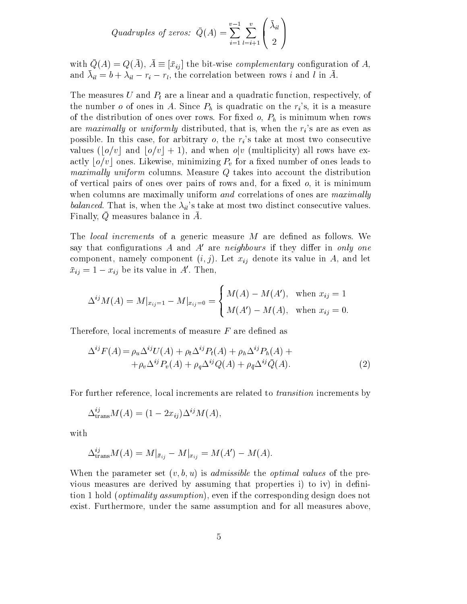*Quadruples of zeros:* 
$$
\bar{Q}(A) = \sum_{i=1}^{v-1} \sum_{l=i+1}^{v} \left( \frac{\bar{\lambda}_{il}}{2} \right)
$$

with  $Q(A) = Q(A)$ ,  $A \equiv |x_{ij}|$  the bit-wise *complementary* configuration of  $A$ , and  $A_{il} = \sigma + A_{il} = r_i - r_l$ , the correlation between rows  $\iota$  and  $\iota$  in  $A$ .

The measures U and  $P_t$  are a linear and a quadratic function, respectively, of the number o of ones in A. Since  $P_h$  is quadratic on the  $r_i$ 's, it is a measure of the distribution of ones over rows. For fixed  $o$ ,  $P_h$  is minimum when rows are maximally or uniformly distributed, that is, when the  $r_i$ 's are as even as possible. In this case, for arbitrary  $o$ , the  $r_i$ 's take at most two consecutive values bovc and bovc and when ojv multiplicity all rows have ex actly  $\vert o/v \vert$  ones. Likewise, minimizing  $P_v$  for a fixed number of ones leads to maximally uniform columns. Measure  $Q$  takes into account the distribution of vertical pairs of ones over pairs of rows and, for a fixed  $o$ , it is minimum when columns are maximally uniform and correlations of ones are maximally balanced That is when the second is when the consecutive values of the consecutive values of the consecutive Finally,  $\overline{Q}$  measures balance in  $\overline{A}$ .

The *local increments* of a generic measure M are defined as follows. We say that configurations A and  $A'$  are neighbours if they differ in only one component, namely component  $(i, j)$ . Let  $x_{ij}$  denote its value in A, and let  $x_{ij} = 1 - x_{ij}$  be its value in  $A$ . Then,

$$
\Delta^{ij} M(A) = M|_{x_{ij}=1} - M|_{x_{ij}=0} = \begin{cases} M(A) - M(A'), & \text{when } x_{ij} = 1 \\ M(A') - M(A), & \text{when } x_{ij} = 0. \end{cases}
$$

Therefore, local increments of measure  $F$  are defined as

$$
\Delta^{ij} F(A) = \rho_u \Delta^{ij} U(A) + \rho_t \Delta^{ij} P_t(A) + \rho_h \Delta^{ij} P_h(A) +
$$
  
+ 
$$
\rho_v \Delta^{ij} P_v(A) + \rho_q \Delta^{ij} Q(A) + \rho_{\bar{q}} \Delta^{ij} \bar{Q}(A).
$$
 (2)

For further reference, local increments are related to *transition* increments by

$$
\Delta_{\text{trans}}^{ij} M(A) = (1 - 2x_{ij}) \Delta^{ij} M(A),
$$

with

$$
\Delta_{\text{trans}}^{ij}M(A) = M|_{x_{ij}} - M|_{x_{ij}} = M(A') - M(A).
$$

When the parameter set  $(v, b, u)$  is *admissible* the *optimal values* of the previous measures are derived by assuming that properties i) to iv) in definition is detected as a sumption of the corresponding to the corresponding design design does not be a second to exist. Furthermore, under the same assumption and for all measures above,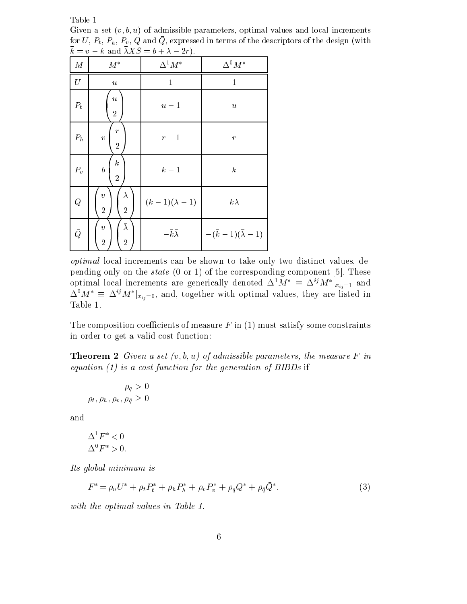Table

Given a set  $\{v_i, v_j, w_j\}$  or admissible parameters optimal values and local increments for  $U$ ,  $I_t$ ,  $I_t$ ,  $I_t$ ,  $I_t$ ,  $Q$  and  $Q$ , expressed in terms of the descriptors of the design (with  $\kappa = v - \kappa$  and  $\lambda \Lambda v = v + \lambda - 2i$ .

| $\cal M$  | $M^\ast$                                                  | ,<br>$\Delta^1 M^*$     | $\Delta^0 M^*$                                 |
|-----------|-----------------------------------------------------------|-------------------------|------------------------------------------------|
| U         | $\boldsymbol{u}$                                          | $\mathbf{1}$            | $\mathbf{1}$                                   |
| $P_t$     | $\boldsymbol{u}$<br>$\overline{2}$                        | $u-1$                   | $\boldsymbol{u}$                               |
| $P_h$     | $\mathcal{r}$<br>$\boldsymbol{v}$<br>$\boldsymbol{2}$     | $r-1$                   | $\boldsymbol{r}$                               |
| $P_v$     | $\boldsymbol{k}$<br>$\boldsymbol{b}$<br>$\sqrt{2}$        | $k-1$                   | $\boldsymbol{k}$                               |
| $\cal Q$  | $\lambda$<br>$\boldsymbol{v}$<br>$\sqrt{2}$<br>$\sqrt{2}$ | $(k-1)(\lambda-1)$      | $k\lambda$                                     |
| $\bar{Q}$ | $\bar{\lambda}$<br>$\boldsymbol{v}$<br>$\,2$<br>$\,2$     | $-\bar{k}\bar{\lambda}$ | $\left  -(\bar{k}-1)(\bar{\lambda}-1) \right $ |

optimal local increments can be shown to take only two distinct values, depending only on the state or of the corresponding component These optimal local increments are generically denoted  $\Delta^2 M = \Delta^3 M \mid_{x_{ij}=1}$  and  $\Delta$  M  $\equiv$   $\Delta$  M  $\mid$   $x_{ij}=0$ , and, together with optimal values, they are listed in

The composition coecients of measure F in must satisfy some constraints in order to get a valid cost function

**Theorem 2** Given a set  $(v, b, u)$  of admissible parameters, the measure F in equation  $(1)$  is a cost function for the generation of BIBDs if

$$
\rho_q > 0
$$
  

$$
\rho_t, \rho_h, \rho_v, \rho_{\bar{q}} \ge 0
$$

and

$$
\Delta^1 F^* < 0
$$
\n
$$
\Delta^0 F^* > 0.
$$

Its global minimum is

$$
F^* = \rho_u U^* + \rho_t P_t^* + \rho_h P_h^* + \rho_v P_v^* + \rho_q Q^* + \rho_{\bar{q}} \bar{Q}^*,
$$
\n(3)

with the optimal values in Table  $1$ .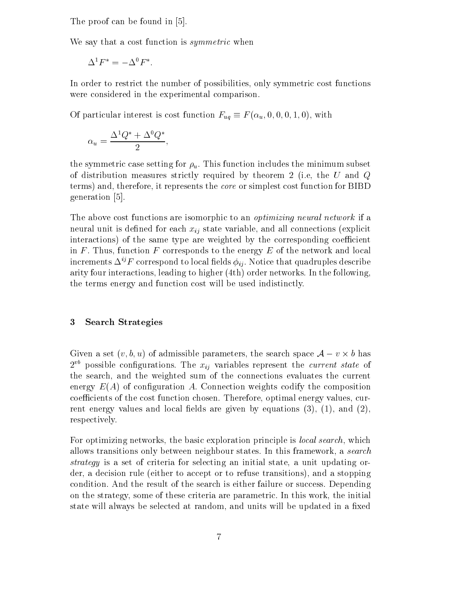The proof can be found in [5].

We say that a cost function is *symmetric* when

$$
\Delta^1 F^* = -\Delta^0 F^*.
$$

In order to restrict the number of possibilities, only symmetric cost functions were considered in the experimental comparison

Of particular interest is cost function Fuq <sup>F</sup> u with

$$
\alpha_u = \frac{\Delta^1 Q^* + \Delta^0 Q^*}{2},
$$

the symmetric case setting for  $\rho_u$ . This function includes the minimum subset of distribution measures strictly required by theorem 2 (i.e., the  $U$  and  $Q$ terms) and, therefore, it represents the *core* or simplest cost function for BIBD generation [5].

The above cost functions are isomorphic to an *optimizing neural network* if a neural unit is defined for each  $x_{ij}$  state variable, and all connections (explicit interactions) of the same type are weighted by the corresponding coefficient in F. Thus, function F corresponds to the energy E of the network and local increments  $\Delta^{ij}F$  correspond to local fields  $\phi_{ij}$ . Notice that quadruples describe arity four interactions, leading to higher (4th) order networks. In the following, the terms energy and function cost will be used indistinctly

### 3 Search Strategies

Given a set v b u of a set v b administers the search space  $\mathbf{y}$  and search space  $\mathbf{y}$  $Z^+$  possible configurations. The  $x_{ij}$  variables represent the current state of the search and the weighted sum of the connections evaluates the current energy  $E(A)$  of configuration A. Connection weights codify the composition coefficients of the cost function chosen. Therefore, optimal energy values, current correspondence work are given by equations to possible  $\mathcal{A}$ respectively

For optimizing networks, the basic exploration principle is *local search*, which allows transitions only between neighbour states. In this framework, a *search* strategy is a set of criteria for selecting an initial state a unit updating or der, a decision rule (either to accept or to refuse transitions), and a stopping condition And the result of the search is either failure or success Depending on the strategy some of these criteria are parametric In this work the initial state will always be selected at random, and units will be updated in a fixed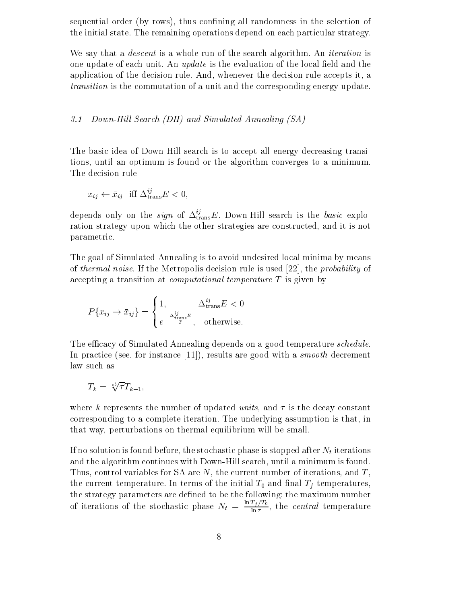sequential order (by rows), thus confining all randomness in the selection of the initial state. The remaining operations depend on each particular strategy.

We say that a *descent* is a whole run of the search algorithm. An *iteration* is one update of each unit. An *update* is the evaluation of the local field and the application of the decision rule. And, whenever the decision rule accepts it, a transition is the commutation of a unit and the corresponding energy update

#### $\beta.1$ down and Simulated Annealing Samuel Samuel Samuel Samuel Samuel Samuel Samuel Samuel Samuel Samuel Samuel Samuel S

The basic idea of Down-Hill search is to accept all energy-decreasing transitions, until an optimum is found or the algorithm converges to a minimum. The decision rule

$$
x_{ij} \leftarrow \bar{x}_{ij} \quad \text{iff } \Delta_{\text{trans}}^{ij} E < 0,
$$

depends only on the  $sign$  of  $\Delta_{\text{trans}}E$ . Down-Hill search is the basic exploration strategy upon which the other strategies are constructed, and it is not parametric

The goal of Simulated Annealing is to avoid undesired local minima by means of thermal noise. If the Metropolis decision rule is used  $[22]$ , the probability of accepting a transition at computational temperature T is given by

$$
P\{x_{ij} \to \bar{x}_{ij}\} = \begin{cases} 1, & \Delta_{\text{trans}}^{ij} E < 0\\ e^{-\frac{\Delta_{\text{trans}}^{ij} E}{T}}, & \text{otherwise.} \end{cases}
$$

The efficacy of Simulated Annealing depends on a good temperature *schedule*. In practice see for instance results are good with a smooth decrement law such as

$$
T_k = \sqrt[vb]{\tau} T_{k-1},
$$

where k represents the number of updated units and the decay constant units and and and and and and and and an corresponding to a complete iteration. The underlying assumption is that, in that way, perturbations on thermal equilibrium will be small.

If no solution is found before, the stochastic phase is stopped after  $N_t$  iterations and the algorithm continues with Down-Hill search, until a minimum is found. Thus, control variables for SA are  $N$ , the current number of iterations, and  $T$ , the current temperature. In terms of the initial  $T_0$  and final  $T_f$  temperatures, the strategy parameters are defined to be the following: the maximum number of iterations of the stochastic phase  $N_t = \frac{m - f_t - \sigma}{\ln \pi}$ , the  $\ln \tau$  and  $\Gamma$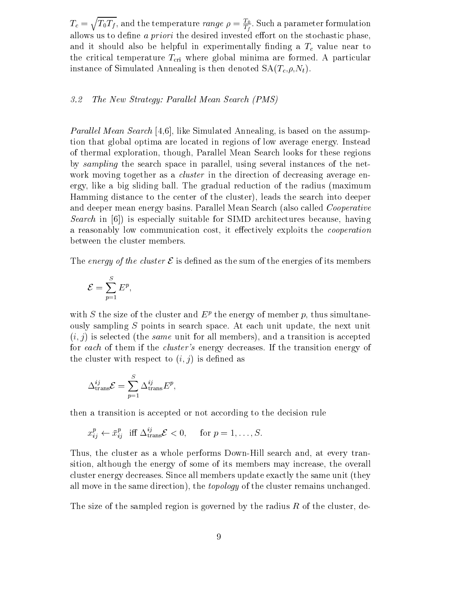$T_c = \sqrt{T_0 T_f}$ , and the temperature *range*  $\rho = \frac{T_0}{T_f}$ . Such a parameter formulation allows us to define a priori the desired invested effort on the stochastic phase, and it should also be helpful in experimentally finding a  $T_c$  value near to the critical temperature  $T_{\text{cri}}$  where global minima are formed. A particular instance of Simulated Annealing is then denoted  $SA(T_c,\rho,N_t)$ .

#### 3.2 The New Strategy: Parallel Mean Search (PMS)

Paral lel Mean Search - like Simulated Annealing is based on the assumption of the assumption of the assumption tion that global optima are located in regions of low average energy Instead of thermal exploration though Parallel Mean Search looks for these regions by *sampling* the search space in parallel, using several instances of the network moving together as a *cluster* in the direction of decreasing average energy, like a big sliding ball. The gradual reduction of the radius (maximum Hamming distance to the center of the cluster), leads the search into deeper and deeper mean energy basins. Parallel Mean Search (also called *Cooperative* search in the sepectrum is especially suitable for SIMD and the SIMD architectures architectures because  $\Delta$ a reasonably low communication cost, it effectively exploits the *cooperation* between the cluster members

The energy of the cluster  $\mathcal E$  is defined as the sum of the energies of its members

$$
\mathcal{E} = \sum_{p=1}^S E^p,
$$

with S the size of the cluster and  $E^p$  the energy of member p, thus simultaneously sampling  $S$  points in search space. At each unit update, the next unit  $(i, j)$  is selected (the *same* unit for all members), and a transition is accepted for each of them if the cluster's energy decreases. If the transition energy of the cluster with respect to  $(i, j)$  is defined as

$$
\Delta_{\text{trans}}^{ij} \mathcal{E} = \sum_{p=1}^S \Delta_{\text{trans}}^{ij} E^p,
$$

then a transition is accepted or not according to the decision rule

$$
x_{ij}^p \leftarrow \bar{x}_{ij}^p \text{ iff } \Delta_{\text{trans}}^{ij} \mathcal{E} < 0, \quad \text{ for } p = 1, \dots, S.
$$

Thus, the cluster as a whole performs Down-Hill search and, at every transition, although the energy of some of its members may increase, the overall cluster energy decreases. Since all members update exactly the same unit (they all move in the same direction), the *topology* of the cluster remains unchanged.

The size of the sampled region is governed by the radius  $R$  of the cluster, de-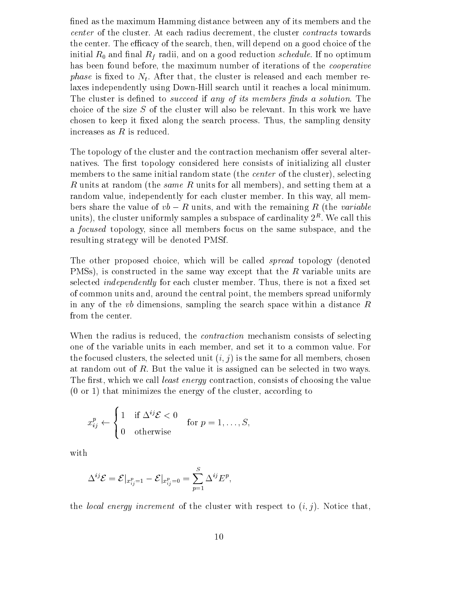fined as the maximum Hamming distance between any of its members and the center of the cluster. At each radius decrement, the cluster *contracts* towards the center. The efficacy of the search, then, will depend on a good choice of the initial  $R_0$  and final  $R_f$  radii, and on a good reduction schedule. If no optimum has been found before, the maximum number of iterations of the *cooperative phase* is fixed to  $N_t$ . After that, the cluster is released and each member relaxes independently using Down-Hill search until it reaches a local minimum. The cluster is defined to *succeed* if any of its members finds a solution. The choice of the size  $S$  of the cluster will also be relevant. In this work we have chosen to keep it fixed along the search process. Thus, the sampling density increases as  $R$  is reduced.

The topology of the cluster and the contraction mechanism offer several alternatives. The first topology considered here consists of initializing all cluster members to the same initial random state (the *center* of the cluster), selecting R units at random (the *same R* units for all members), and setting them at a random value, independently for each cluster member. In this way, all members share the value of via and which the value of variables  $\pi$  and  $\pi$  and  $\pi$ units), the cluster uniformly samples a subspace of cardinality  $Z$  . We call this a *focused* topology, since all members focus on the same subspace, and the resulting strategy will be denoted PMSf

The other proposed choice, which will be called *spread* topology (denoted PMSs), is constructed in the same way except that the  $R$  variable units are selected *independently* for each cluster member. Thus, there is not a fixed set of common units and, around the central point, the members spread uniformly in any of the vb dimensions, sampling the search space within a distance  $R$ from the center

When the radius is reduced, the *contraction* mechanism consists of selecting one of the variable units in each member, and set it to a common value. For the focused clusters, the selected unit  $(i, j)$  is the same for all members, chosen at random out of  $R$ . But the value it is assigned can be selected in two ways. The first, which we call *least energy* contraction, consists of choosing the value  $\mathbf{u}$ 

$$
x_{ij}^{p} \leftarrow \begin{cases} 1 & \text{if } \Delta^{ij}\mathcal{E} < 0 \\ 0 & \text{otherwise} \end{cases} \quad \text{for } p = 1, \ldots, S,
$$

with

$$
\Delta^{ij} \mathcal{E} = \mathcal{E}|_{x_{ij}^p=1} - \mathcal{E}|_{x_{ij}^p=0} = \sum_{p=1}^S \Delta^{ij} E^p,
$$

the local energy increment of the cluster with respect to  $(i, j)$ . Notice that,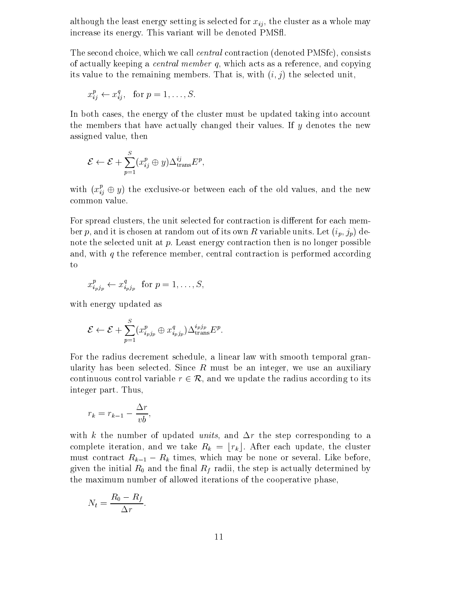although the least energy setting is selected for  $x_{ij}$ , the cluster as a whole may increase its energy. This variant will be denoted PMSfl.

The second choice, which we call *central* contraction (denoted PMSfc), consists of actually keeping a *central member q*, which acts as a reference, and copying its value to the remaining members. That is, with  $(i, j)$  the selected unit,

$$
x_{ij}^p \leftarrow x_{ij}^q, \text{ for } p = 1, \dots, S.
$$

In both cases, the energy of the cluster must be updated taking into account the members that have actually changed their values. If  $y$  denotes the new assigned value, then

$$
\mathcal{E} \leftarrow \mathcal{E} + \sum_{p=1}^{S} (x_{ij}^p \oplus y) \Delta_{\text{trans}}^{ij} E^p,
$$

with  $(x_{ij} \oplus y)$  the exclusive-or between each of the old values, and the new common value

For spread clusters, the unit selected for contraction is different for each member p, and it is chosen at random out of its own R variable units. Let  $(i_p, j_p)$  denote the selected unit at  $p$ . Least energy contraction then is no longer possible and, with  $q$  the reference member, central contraction is performed according to

$$
x_{i_pj_p}^p \leftarrow x_{i_pj_p}^q \quad \text{for } p = 1, \dots, S,
$$

with energy updated as

$$
\mathcal{E} \leftarrow \mathcal{E} + \sum_{p=1}^{S} (x_{i_p j_p}^p \oplus x_{i_p j_p}^q) \Delta_{\text{trans}}^{i_p j_p} E^p.
$$

For the radius decrement schedule, a linear law with smooth temporal granularity has been selected. Since  $R$  must be an integer, we use an auxiliary continuous control variable  $r \in \mathcal{R}$ , and we update the radius according to its integer part. Thus

$$
r_k = r_{k-1} - \frac{\Delta r}{vb},
$$

with k the number of updated *units*, and  $\Delta r$  the step corresponding to a complete iteration, and we take  $R_k = \lfloor r_k \rfloor$ . After each update, the cluster must contract Rk-- - Rk times which may be none or several Like before given the initial  $R_0$  and the final  $R_f$  radii, the step is actually determined by the maximum number of allowed iterations of the cooperative phase

$$
N_t = \frac{R_0 - R_f}{\Delta r}.
$$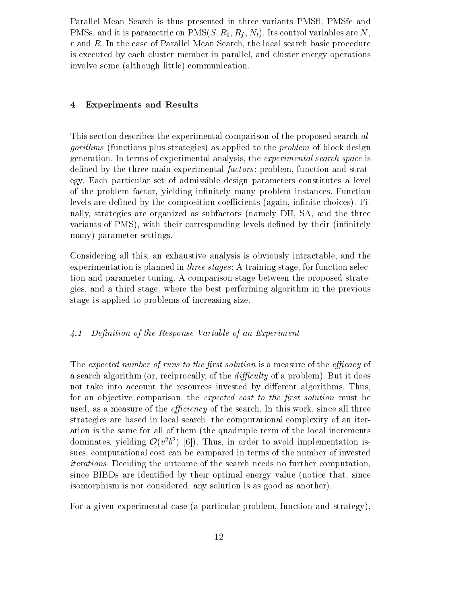Parallel Mean Search is thus presented in three variants PMSfl, PMSfc and PMSs, and it is parametric on  $PMS(S, R_0, R_f, N_t)$ . Its control variables are N,  $r$  and  $R$ . In the case of Parallel Mean Search, the local search basic procedure is executed by each cluster member in parallel, and cluster energy operations involve some (although little) communication.

### Experiments and Results

This section describes the experimental comparison of the proposed search al*gorithms* (functions plus strategies) as applied to the *problem* of block design generation In terms of experimental analysis the experimental search space is defined by the three main experimental *factors*: problem, function and strategy Each particular set of admissible design parameters constitutes a level of the problem factor, yielding infinitely many problem instances. Function levels are defined by the composition coefficients (again, infinite choices). Finally, strategies are organized as subfactors (namely DH, SA, and the three variants of PMS), with their corresponding levels defined by their (infinitely many) parameter settings.

Considering all this, an exhaustive analysis is obviously intractable, and the experimentation is planned in *three stages*: A training stage, for function selection and parameter tuning A comparison stage between the proposed strate gies, and a third stage, where the best performing algorithm in the previous stage is applied to problems of increasing size

### $\lambda$ .1 Definition of the Response Variable of an Experiment

The expected number of runs to the first solution is a measure of the efficacy of a search algorithm (or, reciprocally, of the  $diffically$  of a problem). But it does not take into account the resources invested by different algorithms. Thus, for an objective comparison, the expected cost to the first solution must be used, as a measure of the *efficiency* of the search. In this work, since all three strategies are based in local search the computational complexity of an iter ation is the same for all of them (the quadruple term of the local increments dominates, yielding  $O(v^+v^-)$  [0]). Thus, in order to avoid implementation issues, computational cost can be compared in terms of the number of invested *iterations*. Deciding the outcome of the search needs no further computation, since BIBDs are identified by their optimal energy value (notice that, since isomorphism is not considered, any solution is as good as another).

For a given experimental case (a particular problem, function and strategy),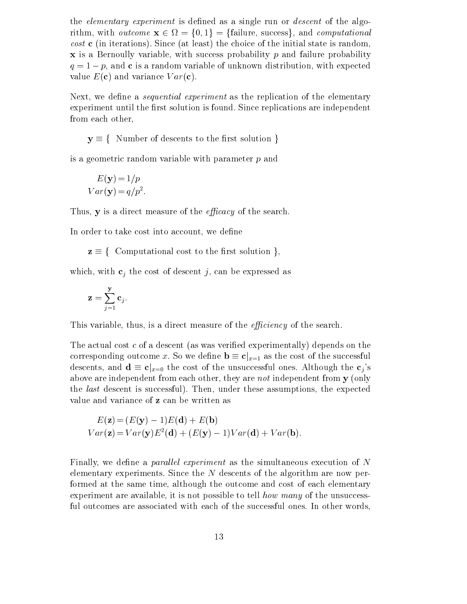the *elementary experiment* is defined as a single run or *descent* of the algorithm with outcome and computational property and computational computations of the computational computational  $cost$  c (in iterations). Since (at least) the choice of the initial state is random,  $x$  is a Bernoully variable, with success probability p and failure probability q - p and c is a random variable of unknown distribution with expected variable  $\mathbb{R}^n$ value  $E(c)$  and variance  $Var(c)$ .

Next, we define a *sequential experiment* as the replication of the elementary experiment until the first solution is found. Since replications are independent from each other

 $y \equiv \{$  Number of descents to the first solution  $\}$ 

is a geometric random variable with parameter  $p$  and

$$
E(\mathbf{y}) = 1/p
$$
  
 
$$
Var(\mathbf{y}) = q/p^2.
$$

Thus, **y** is a direct measure of the *efficacy* of the search.

In order to take cost into account, we define

 $z \equiv \{$  Computational cost to the first solution  $\},$ 

which, with  $c_j$  the cost of descent j, can be expressed as

$$
\mathbf{z} = \sum_{j=1}^{\mathbf{y}} \mathbf{c}_j.
$$

This variable, thus, is a direct measure of the *efficiency* of the search.

The actual cost c of a descent (as was verified experimentally) depends on the corresponding outcomes control the comment of the successful the successful the successful the successful the s descents, and  $\mathbf{d} \equiv \mathbf{c}|_{x=0}$  the cost of the unsuccessful ones. Although the  $\mathbf{c}_j$ 's above are independent from each other, they are *not* independent from  $\bf{y}$  (only the *last* descent is successful). Then, under these assumptions, the expected value and variance of z can be written as

$$
E(\mathbf{z}) = (E(\mathbf{y}) - 1)E(\mathbf{d}) + E(\mathbf{b})
$$
  
 
$$
Var(\mathbf{z}) = Var(\mathbf{y})E^{2}(\mathbf{d}) + (E(\mathbf{y}) - 1)Var(\mathbf{d}) + Var(\mathbf{b}).
$$

Finally, we define a *parallel experiment* as the simultaneous execution of N elementary experiments. Since the  $N$  descents of the algorithm are now performed at the same time, although the outcome and cost of each elementary experiment are available, it is not possible to tell *how many* of the unsuccessful outcomes are associated with each of the successful ones In other words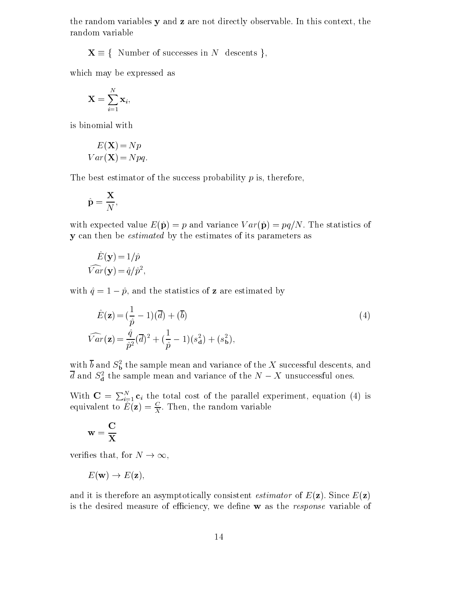the random variables  $y$  and  $z$  are not directly observable. In this context, the random variable

 $X \equiv \{$  Number of successes in N descents  $\},$ 

which may be expressed as

$$
\mathbf{X} = \sum_{i=1}^N \mathbf{x}_i,
$$

is binomial with

$$
E(\mathbf{X}) = Np
$$
  
 
$$
Var(\mathbf{X}) = Npq.
$$

The best estimator of the success probability  $p$  is, therefore,

$$
\hat{\mathbf{p}} = \frac{\mathbf{X}}{N},
$$

with expected value  $E(\hat{\mathbf{p}}) = p$  and variance  $Var(\hat{\mathbf{p}}) = pq/N$ . The statistics of **y** can then be *estimated* by the estimates of its parameters as

$$
\overline{E}(\mathbf{y}) = 1/\hat{p}
$$
  

$$
\widehat{Var}(\mathbf{y}) = \hat{q}/\hat{p}^2,
$$

with  $\eta$  , and the statistics of  $\alpha$  are estimated by an order the statistics of  $\eta$ 

$$
\hat{E}(\mathbf{z}) = \left(\frac{1}{\hat{p}} - 1\right)(\overline{d}) + (\overline{b})
$$
\n
$$
\widehat{Var}(\mathbf{z}) = \frac{\hat{q}}{\hat{p}^2}(\overline{d})^2 + \left(\frac{1}{\hat{p}} - 1\right)(s_{\mathbf{d}}^2) + (s_{\mathbf{b}}^2),
$$
\n(4)

with  $\sigma$  and  $S_{\bf b}^-$  the sample mean and variance of the  $X$  successful descents, and  $a$  and  $S_{\bf d}$  the sample mean and variance of the  $N - \Lambda$  unsuccessful ones.

With  $C = \sum_{i=1}^{n} c_i$  the total cost of the parallel experiment, equation (4) is equivalent to  $E(\mathbf{z}) = \frac{1}{X}$ . Then, the random variable

$$
\mathbf{w} = \frac{\mathbf{C}}{\mathbf{X}}
$$

verifies that, for  $N \to \infty$ ,

$$
E(\mathbf{w}) \to E(\mathbf{z}),
$$

and it is therefore an asymptotically consistent *estimator* of  $E(\mathbf{z})$ . Since  $E(\mathbf{z})$ is the desired measure of efficiency, we define  $\bf{w}$  as the response variable of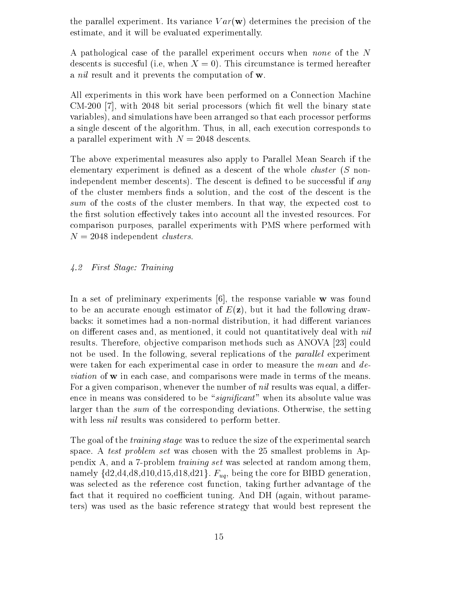the parallel experiment. Its variance  $Var(\mathbf{w})$  determines the precision of the estimate, and it will be evaluated experimentally.

A pathological case of the parallel experiment occurs when none of the N descents is succesful (i.e., when  $X = 0$ ). This circumstance is termed hereafter a *nil* result and it prevents the computation of  $w$ .

All experiments in this work have been performed on a Connection Machine  $CM-200$  [7], with 2048 bit serial processors (which fit well the binary state variables), and simulations have been arranged so that each processor performs a single descent of the algorithm. Thus, in all, each execution corresponds to a parallel experiment with  $N = 2048$  descents.

The above experimental measures also apply to Parallel Mean Search if the elementary experiment is defined as a descent of the whole *cluster*  $(S \text{ non-}$ independent member descents). The descent is defined to be successful if any of the cluster members finds a solution, and the cost of the descent is the sum of the costs of the cluster members. In that way, the expected cost to the first solution effectively takes into account all the invested resources. For comparison purposes parallel experiments with PMS where performed with  $N = 2048$  independent clusters.

#### $4.2$ First Stage: Training

In a set of preliminary experiments - the response variable w was found to be an accurate enough estimator of  $E(\mathbf{z})$ , but it had the following drawbacks: it sometimes had a non-normal distribution, it had different variances on different cases and, as mentioned, it could not quantitatively deal with *nil* results. Therefore, objective comparison methods such as ANOVA [23] could not be used. In the following, several replications of the *parallel* experiment were taken for each experimental case in order to measure the *mean* and *deviation* of  $\bf{w}$  in each case, and comparisons were made in terms of the means. For a given comparison, whenever the number of *nil* results was equal, a difference in means was considered to be "significant" when its absolute value was larger than the sum of the corresponding deviations. Otherwise, the setting with less *nil* results was considered to perform better.

The goal of the *training stage* was to reduce the size of the experimental search space. A test problem set was chosen with the  $25$  smallest problems in Appendix A, and a 7-problem *training set* was selected at random among them, and the core for the core for the core for the core for the core for the core for the core for the core for th was selected as the reference cost function, taking further advantage of the fact that it required no coefficient tuning. And DH (again, without parameters) was used as the basic reference strategy that would best represent the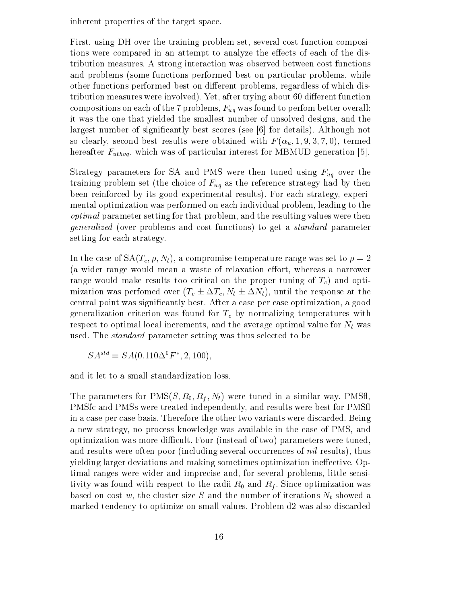inherent properties of the target space

First, using DH over the training problem set, several cost function compositions were compared in an attempt to analyze the effects of each of the distribution measures A strong interaction was observed between cost functions and problems (some functions performed best on particular problems, while other functions performed best on different problems, regardless of which distribution measures were involved the transition of the trying about  $\alpha$  and the complete three completes of the contract of the contract of the contract of the contract of the contract of the contract of the contract of t compositions on each of the 7 problems,  $F_{uq}$  was found to perfom better overall: it was the one that yielded the smallest number of unsolved designs and the largest number of significantly best see -  $\mathbf{A}$ so correspute that we have a comment of the corresponding the specific state of  $\mathcal{S}$  , the first with  $\mathcal{S}$ hereafter  $F_{uth\nu q}$ , which was of particular interest for MBMUD generation [5].

Strategy parameters for SA and PMS were then tuned using  $F_{uq}$  over the training problem set (the choice of  $F_{uq}$  as the reference strategy had by then been reinforced by its good experimental results). For each strategy, experimental optimization was performed on each individual problem, leading to the optimal parameter setting for that problem and the resulting values were then *generalized* (over problems and cost functions) to get a *standard* parameter setting for each strategy

In the case of  $\text{SA}(T_c, \rho, N_t)$ , a compromise temperature range was set to  $\rho = 2$ (a wider range would mean a waste of relaxation effort, whereas a narrower range would make results too critical on the proper tuning of  $T_c$ ) and optimization was perfomed over  $(T_c \pm \Delta T_c, N_t \pm \Delta N_t)$ , until the response at the central point was significantly best. After a case per case optimization, a good generalization criterion was found for  $T_c$  by normalizing temperatures with respect to optimal local increments, and the average optimal value for  $N_t$  was used. The *standard* parameter setting was thus selected to be

$$
SA^{std} \equiv SA(0.110\Delta^{0}F^{*}, 2, 100),
$$

and it let to a small standardization loss

The parameters for  $PMS(S, R_0, R_f, N_t)$  were tuned in a similar way. PMSfl, PMSfc and PMSs were treated independently, and results were best for PMSf in a case per case basis. Therefore the other two variants were discarded. Being a new strategy, no process knowledge was available in the case of PMS, and optimization was more difficult. Four (instead of two) parameters were tuned, and results were often poor (including several occurrences of  $nil$  results), thus yielding larger deviations and making sometimes optimization ineffective. Optimal ranges were wider and imprecise and, for several problems, little sensitivity was found with respect to the radii  $R_0$  and  $R_f$ . Since optimization was based on cost w, the cluster size S and the number of iterations  $N_t$  showed a marked tendency to optimize on small values. Problem d2 was also discarded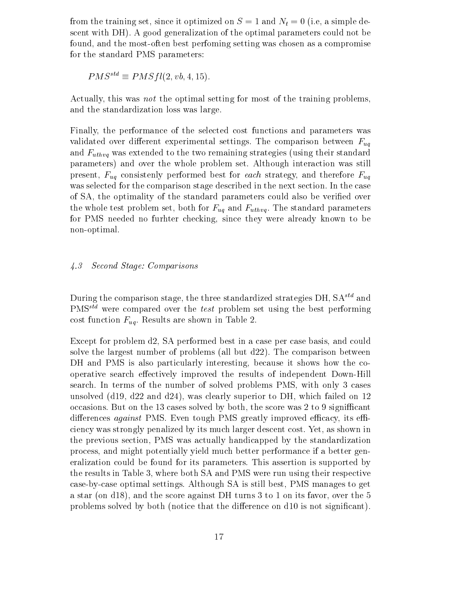from the training set since it optimized on S and Nt 
ie a simple de scent with DH). A good generalization of the optimal parameters could not be found, and the most-often best perfoming setting was chosen as a compromise for the standard PMS parameters

$$
PMS^{std} \equiv PMSfl(2, vb, 4, 15).
$$

Actually, this was *not* the optimal setting for most of the training problems, and the standardization loss was large

Finally, the performance of the selected cost functions and parameters was validated over different experimental settings. The comparison between  $F_{uq}$ and  $F_{uthva}$  was extended to the two remaining strategies (using their standard parameters) and over the whole problem set. Although interaction was still present,  $F_{uq}$  consistenly performed best for each strategy, and therefore  $F_{uq}$ was selected for the comparison stage described in the next section. In the case of SA, the optimality of the standard parameters could also be verified over the whole test problem set, both for  $F_{uq}$  and  $F_{uth vq}$ . The standard parameters for PMS needed no further checking, since they were already known to be non-optimal.

#### $\lambda$ .3 Second Stage: Comparisons

During the comparison stage, the three standardized strategies DH,  $SA^{std}$  and  $PMS<sup>std</sup>$  were compared over the test problem set using the best performing cost function  $F_{uq}$ . Results are shown in Table 2.

Except for problem  $d2$ , SA performed best in a case per case basis, and could solve the largest number of problems (all but  $d22$ ). The comparison between DH and PMS is also particularly interesting, because it shows how the cooperative search effectively improved the results of independent Down-Hill search. In terms of the number of solved problems PMS, with only 3 cases  $\mathbf d$  and d and d was clearly superior to DH which failed on DH which failed on  $\mathbf d$ occasions <del>a</del> di on the score was the score was to significant was to significant was to significant was t differences *against* PMS. Even tough PMS greatly improved efficacy, its efficiency was strongly penalized by its much larger descent cost Yet as shown in the previous section, PMS was actually handicapped by the standardization process and might potentially yield much better performance if a better gen eralization could be found for its parameters This assertion is supported by the results in Table 3, where both SA and PMS were run using their respective case-by-case optimal settings. Although SA is still best, PMS manages to get a star on the score and the star dependence of the score over the score over the star over the score over the problems solved by both notes that the dierence on dierence on die and the distribution of  $\mathcal{L}_1$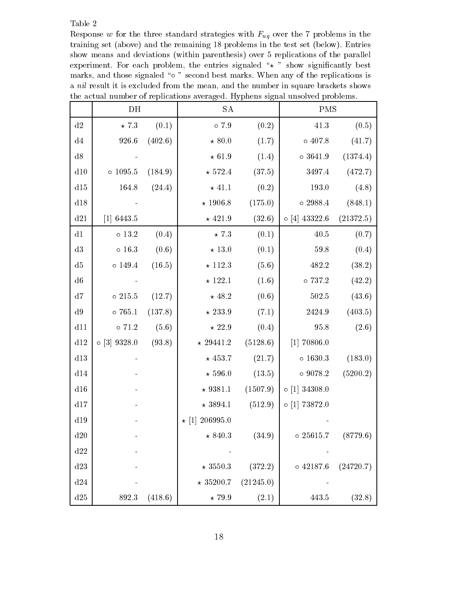### Table 2

Response w for the three standard strategies with  $F_{uq}$  over the 7 problems in the training set -above and the remaining problems in the test set -below Entries show means and deviations -within parenthesis over replications of the parallel experiment. For each problem, the entries signaled  $" \star"$  show significantly best marks and the second best marks when any of the replication of the replications is the replications of the replications is the replication of the replications is the replication of the replication of the replications of th a nil result it is excluded from the mean, and the number in square brackets shows the actual number of replications averaged. Hyphens signal unsolved problems.

|                | DH                 |         | ${\rm SA}$           |           | <b>PMS</b>          |           |  |  |
|----------------|--------------------|---------|----------------------|-----------|---------------------|-----------|--|--|
| $\mathrm{d}2$  | $\star$ 7.3        | (0.1)   | $\circ\,$ 7.9 $\,$   | (0.2)     | 41.3                | (0.5)     |  |  |
| $\mathrm{d}4$  | 926.6              | (402.6) | $*80.0$              | (1.7)     | $\circ$ 407.8       | (41.7)    |  |  |
| $\mathrm{d}8$  | $\sim$ $-$         |         | $\star$ 61.9         | (1.4)     | $\circ$ 3641.9      | (1374.4)  |  |  |
| d10            | $\circ$ 1095.5     | (184.9) | $\star$ 572.4        | (37.5)    | 3497.4              | (472.7)   |  |  |
| d15            | 164.8              | (24.4)  | $\star$ 41.1         | (0.2)     | 193.0               | (4.8)     |  |  |
| d18            | $\sim$ $\sim$      |         | $\star$ 1906.8       | (175.0)   | $\,\circ\,2988.4$   | (848.1)   |  |  |
| d21            | [1] 6443.5         |         | $\star$ 421.9        | (32.6)    | $\circ$ [4] 43322.6 | (21372.5) |  |  |
| d1             | $\circ$ 13.2       | (0.4)   | $\star$ 7.3          | (0.1)     | 40.5                | (0.7)     |  |  |
| $\mathrm{d}3$  | $\circ$ 16.3       | (0.6)   | $\star$ 13.0         | (0.1)     | $59.8\,$            | (0.4)     |  |  |
| $\mathrm{d}5$  | o $149.4$          | (16.5)  | $\star$ 112.3        | (5.6)     | 482.2               | (38.2)    |  |  |
| $\mathrm{d}6$  |                    |         | $\star$ 122.1        | (1.6)     | $\circ$ 737.2       | (42.2)    |  |  |
| $\mathrm{d}7$  | $\circ$ 215.5      | (12.7)  | $\star$ 48.2         | (0.6)     | 502.5               | (43.6)    |  |  |
| $\mathrm{d}9$  | $\circ 765.1$      | (137.8) | $\star$ 233.9        | (7.1)     | 2424.9              | (403.5)   |  |  |
| d11            | $\circ$ 71.2       | (5.6)   | $\star$ 22.9         | (0.4)     | 95.8                | (2.6)     |  |  |
| d12            | $\circ$ [3] 9328.0 | (93.8)  | $\star$ 29441.2      | (5128.6)  | $[1]$ 70806.0       |           |  |  |
| d13            |                    |         | $* 453.7$            | (21.7)    | $\,\circ\,1630.3$   | (183.0)   |  |  |
| d14            |                    |         | $\star$ 596.0        | (13.5)    | $\circ\ 9078.2$     | (5200.2)  |  |  |
| d16            |                    |         | $\star$ 9381.1       | (1507.9)  | $\circ$ [1] 34308.0 |           |  |  |
| d17            |                    |         | $\star$ 3894.1       | (512.9)   | $\circ$ [1] 73872.0 |           |  |  |
| d19            |                    |         | $\star$ [1] 206995.0 |           |                     |           |  |  |
| d20            |                    |         | $\star$ 840.3        | (34.9)    | $\circ$ 25615.7     | (8779.6)  |  |  |
| $\mathrm{d}22$ |                    |         |                      |           |                     |           |  |  |
| d23            |                    |         | $\star$ 3550.3       | (372.2)   | o $\,42187.6$       | (24720.7) |  |  |
| $\mathrm{d}24$ |                    |         | $\star$ 35200.7      | (21245.0) |                     |           |  |  |
| d25            | $892.3\,$          | (418.6) | $\star$ 79.9         | (2.1)     | $443.5\,$           | (32.8)    |  |  |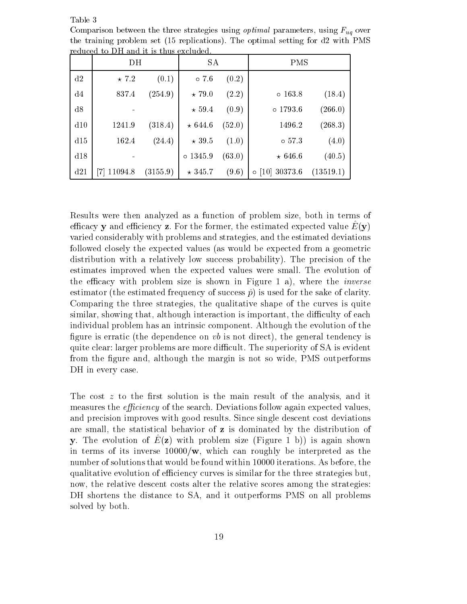Table

Comparison between the three strategies using *optimal* parameters, using  $F_{uq}$  over the training problem set (it replications). The optimization for drop and with PMSS in the optimal  $\sim$ reduced to DH and it is thus excluded

|     | DH          |          | <b>SA</b>      |        | <b>PMS</b>           |           |  |
|-----|-------------|----------|----------------|--------|----------------------|-----------|--|
| d2  | $\star$ 7.2 | (0.1)    | $\circ$ 7.6    | (0.2)  |                      |           |  |
| d4  | 837.4       | (254.9)  | $\star$ 79.0   | (2.2)  | $\circ$ 163.8        | (18.4)    |  |
| d8  |             |          | $\star$ 59.4   | (0.9)  | $\circ$ 1793.6       | (266.0)   |  |
| d10 | 1241.9      | (318.4)  | $\star$ 644.6  | (52.0) | 1496.2               | (268.3)   |  |
| d15 | 162.4       | (24.4)   | $\star$ 39.5   | (1.0)  | $\circ$ 57.3         | (4.0)     |  |
| d18 |             |          | $\circ$ 1345.9 | (63.0) | $\star$ 646.6        | (40.5)    |  |
| d21 | 11094.8     | (3155.9) | $* 345.7$      | (9.6)  | $\circ$ [10] 30373.6 | (13519.1) |  |

Results were then analyzed as a function of problem size, both in terms of emicacy y and emitiency **z**. For the former, the estimated expected value  $E(y)$ varied considerably with problems and strategies and the estimated deviations followed closely the expected values (as would be expected from a geometric distribution with a relatively low success probability). The precision of the estimates improved when the expected values were small The evolution of the example with problem size is shown in Figure ,  $\alpha$  ,  $\alpha$  is shown in Figure . estimator (the estimated frequency of success  $\hat{p}$ ) is used for the sake of clarity. Comparing the three strategies, the qualitative shape of the curves is quite similar, showing that, although interaction is important, the difficulty of each individual problem has an intrinsic component Although the evolution of the figure is erratic (the dependence on vb is not direct), the general tendency is quite clear: larger problems are more difficult. The superiority of SA is evident from the figure and, although the margin is not so wide, PMS outperforms DH in every case.

The cost  $z$  to the first solution is the main result of the analysis, and it measures the *efficiency* of the search. Deviations follow again expected values, and precision improves with good results Since single descent cost deviations are small, the statistical behavior of  $z$  is dominated by the distribution of  $\mathbf{y}$ . The evolution of  $E(\mathbf{z})$  with problem size (Figure 1 b)) is again shown in the inverse and its interpreted as the interpreted as  $\alpha$  roughly be interpreted as the interpreted as the number of solutions that within  $\mathcal{L}_{\mathcal{A}}$  and within  $\mathcal{L}_{\mathcal{A}}$  and  $\mathcal{L}_{\mathcal{A}}$ qualitative evolution of efficiency curves is similar for the three strategies but, now, the relative descent costs alter the relative scores among the strategies: DH shortens the distance to SA, and it outperforms PMS on all problems solved by both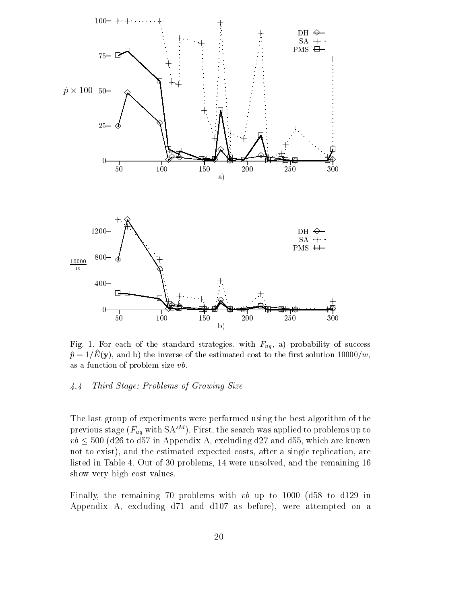

Fig. 1. For each of the standard strategies, with  $F_{uq}$ , a) probability of success  $p = \frac{1}{L} \sum_{i=1}^{L} \sum_{j=1}^{L} \sum_{j=1}^{L} \sum_{j=1}^{L} \sum_{j=1}^{L} \sum_{j=1}^{L} \sum_{j=1}^{L} \sum_{j=1}^{L} \sum_{j=1}^{L} \sum_{j=1}^{L} \sum_{j=1}^{L} \sum_{j=1}^{L} \sum_{j=1}^{L} \sum_{j=1}^{L} \sum_{j=1}^{L} \sum_{j=1}^{L} \sum_{j=1}^{L} \sum_{j=1}^{L} \sum_{j=1}^{L} \sum_{j=1}^{L} \sum_{j=1}^{L} \$ as a function of problem size  $vb$ .

#### $4.4$ Third Stage: Problems of Growing Size

The last group of experiments were performed using the best algorithm of the previous stage  $(F_{uq}$  with  $SA^{std}$ ). First, the search was applied to problems up to ve a cod in Appendix A excluding d and d which are known and d which are known and discussed and a contract of not to exist), and the estimated expected costs, after a single replication, are listed in Table Out of 
problems were unsolved and the remaining show very high cost values

Finally the remaining problems with vb up to d to d in as personal as a construction of the decomposition of the construction of the construction of the construction o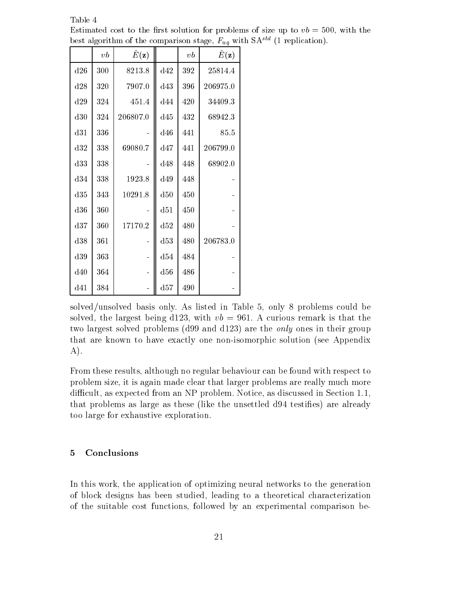|     |         |                       |                |         | $\alpha$ and $\alpha$ and $\alpha$ are comparison stage, $\alpha$ $yq$ with $\beta$ . |  |
|-----|---------|-----------------------|----------------|---------|---------------------------------------------------------------------------------------|--|
|     | $_{vb}$ | $\hat{E}(\mathbf{z})$ |                | $_{vb}$ | $\hat{E}(\mathbf{z})$                                                                 |  |
| d26 | 300     | 8213.8                | $\mathrm{d}42$ | 392     | 25814.4                                                                               |  |
| d28 | 320     | 7907.0                | d43            | 396     | 206975.0                                                                              |  |
| d29 | 324     | 451.4                 | d44            | 420     | 34409.3                                                                               |  |
| d30 | 324     | 206807.0              | d45            | 432     | 68942.3                                                                               |  |
| d31 | 336     |                       | d46            | 441     | 85.5                                                                                  |  |
| d32 | 338     | 69080.7               | d47            | 441     | 206799.0                                                                              |  |
| d33 | 338     |                       | d48            | 448     | 68902.0                                                                               |  |
| d34 | 338     | 1923.8                | d49            | 448     |                                                                                       |  |
| d35 | 343     | 10291.8               | d50            | 450     |                                                                                       |  |
| d36 | 360     |                       | d51            | 450     |                                                                                       |  |
| d37 | 360     | 17170.2               | ${\rm d}52$    | 480     |                                                                                       |  |
| d38 | 361     |                       | d53            | 480     | 206783.0                                                                              |  |
| d39 | 363     |                       | d54            | 484     |                                                                                       |  |
| d40 | 364     |                       | d56            | 486     |                                                                                       |  |
| d41 | 384     |                       | d57            | 490     |                                                                                       |  |

Table

Estimated cost to the first solution for problems of size up to  $vb = 500$ , with the best algorithm of the comparison stage,  $F_{ua}$  with  $SA^{++}$  (1 replication).

solved/unsolved basis only. As listed in Table  $5$ , only  $8$  problems could be solved the largest being distribution of the largest being distribution of the largest  $\mathbf{A}$ two largest solved problems d and d are the only ones in their group that are known to have exactly one non-isomorphic solution (see Appendix  $A)$ .

From these results although no regular behaviour can be found with respect to problem size, it is again made clear that larger problems are really much more dicult as expected from an NP problem Notice as discussed in Section that problems as large as these (like the unsettled d94 testifies) are already too large for exhaustive exploration

### Conclusions

In this work the application of optimizing neural networks to the generation of block designs has been studied, leading to a theoretical characterization of the suitable cost functions followed by an experimental comparison be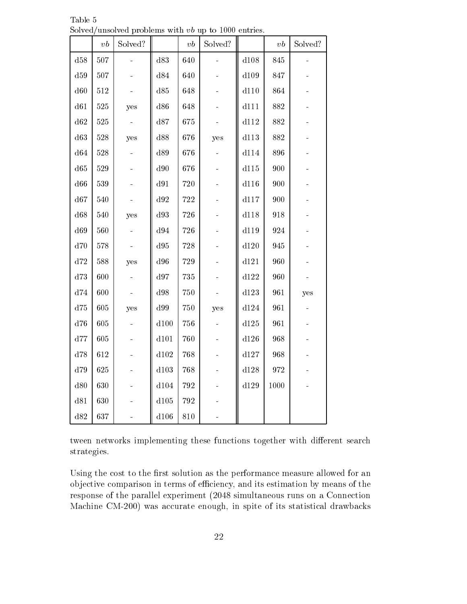|                | $\upsilon b$ | Solved? |                  | $\upsilon b$ | Solved? |                  | $\boldsymbol{v} \boldsymbol{b}$ | Solved? |
|----------------|--------------|---------|------------------|--------------|---------|------------------|---------------------------------|---------|
| d58            | 507          |         | $\mathrm{d}83$   | 640          |         | ${\rm d}108$     | 845                             |         |
| d59            | 507          |         | d84              | 640          |         | d109             | 847                             |         |
| d60            | $5\sqrt{12}$ |         | ${\rm d}85$      | 648          |         | d110             | 864                             |         |
| ${\rm d}61$    | 525          | yes     | $\rm d86$        | 648          |         | d111             | $882\,$                         |         |
| ${\rm d}62$    | $525\,$      |         | d87              | $675\,$      |         | $\mathrm{d}112$  | 882                             |         |
| ${\rm d}63$    | $528\,$      | yes     | $\rm d88$        | $676\,$      | yes     | $\mathrm{d}113$  | 882                             |         |
| d64            | 528          |         | $\rm d89$        | 676          |         | d114             | 896                             |         |
| d65            | 529          |         | d90              | 676          |         | $\mathrm{d} 115$ | 900                             |         |
| d66            | 539          |         | $\rm{d}91$       | 720          |         | $\text{d} 116$   | 900                             |         |
| d67            | 540          |         | $\rm{d}92$       | 722          |         | d117             | 900                             |         |
| d68            | 540          | yes     | $\rm{d}93$       | 726          |         | d118             | 918                             |         |
| d69            | $560\,$      |         | $\rm{d}94$       | 726          |         | d119             | 924                             |         |
| d70            | $5\,78$      |         | $\rm{d}95$       | 728          |         | ${\rm d}120$     | 945                             |         |
| $\mathrm{d}72$ | 588          | yes     | $\rm{d}96$       | 729          |         | $\mathrm{d}121$  | 960                             |         |
| d73            | 600          |         | $\rm{d}97$       | 735          |         | $\mathrm{d}122$  | 960                             |         |
| d74            | 600          |         | $\rm{d}98$       | 750          |         | $\mathrm{d}123$  | 961                             | yes     |
| d75            | 605          | yes     | d99              | 750          | yes     | d124             | 961                             |         |
| $\rm d76$      | 605          |         | d100             | 756          |         | $\mathrm{d}125$  | 961                             |         |
| d77            | 605          |         | ${\rm d}101$     | 760          |         | $\text{d}126$    | 968                             |         |
| $\rm{d}78$     | $6\sqrt{12}$ |         | ${\rm d}102$     | 768          |         | $\mathrm{d}127$  | 968                             |         |
| d79            | 625          |         | ${\rm d}103$     | 768          |         | ${\rm d}128$     | $\bf{972}$                      |         |
| d80            | 630          |         | d104             | 792          |         | d129             | 1000                            |         |
| $\mathrm{d}81$ | $630\,$      |         | ${\rm d}105$     | $792\,$      |         |                  |                                 |         |
| d82            | 637          |         | ${\rm d} \, 106$ | 810          |         |                  |                                 |         |

Table Solved/unsolved problems with  $vb$  up to  $1000$  entries.

tween networks implementing these functions together with different search strategies

Using the cost to the first solution as the performance measure allowed for an objective comparison in terms of efficiency, and its estimation by means of the response of the parallel experiment (2048 simultaneous runs on a Connection Machine CM-200) was accurate enough, in spite of its statistical drawbacks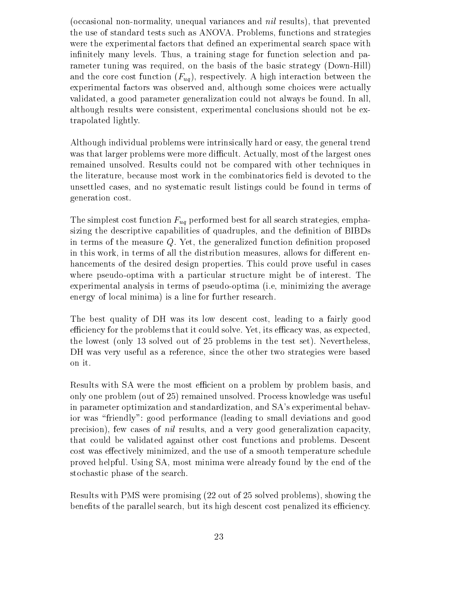(occasional non-normality, unequal variances and  $nil$  results), that prevented the use of standard tests such as ANOVA Problems functions and strategies were the experimental factors that defined an experimental search space with infinitely many levels. Thus, a training stage for function selection and parameter tuning was required, on the basis of the basic strategy (Down-Hill) and the core cost function  $(F_{uq})$ , respectively. A high interaction between the experimental factors was observed and, although some choices were actually validated, a good parameter generalization could not always be found. In all, although results were consistent, experimental conclusions should not be extrapolated lightly

Although individual problems were intrinsically hard or easy the general trend was that larger problems were more difficult. Actually, most of the largest ones remained unsolved. Results could not be compared with other techniques in the literature, because most work in the combinatorics field is devoted to the unsettled cases and no systematic result listings could be found in terms of generation cost

The simplest cost function  $F_{uq}$  performed best for all search strategies, emphasizing the descriptive capabilities of quadruples, and the definition of BIBDs in terms of the measure  $Q$ . Yet, the generalized function definition proposed in this work, in terms of all the distribution measures, allows for different enhancements of the desired design properties. This could prove useful in cases where pseudo-optima with a particular structure might be of interest. The experimental analysis in terms of pseudo-optima (i.e. minimizing the average energy of local minima) is a line for further research.

The best quality of DH was its low descent cost, leading to a fairly good efficiency for the problems that it could solve. Yet, its efficacy was, as expected, the lowest form in the test set of the test set and the test set of the test set  $\mathcal{L}_{\mathcal{A}}$ DH was very useful as a reference, since the other two strategies were based on it

Results with SA were the most efficient on a problem by problem basis, and only one problem (out of 25) remained unsolved. Process knowledge was useful in parameter optimization and standardization, and SA's experimental behavior was "friendly": good performance (leading to small deviations and good precision), few cases of *nil* results, and a very good generalization capacity, that could be validated against other cost functions and problems. Descent cost was effectively minimized, and the use of a smooth temperature schedule proved helpful Using SA most minima were already found by the end of the stochastic phase of the search

Results with PMS were promising  $(22 \text{ out of } 25 \text{ solved problems})$ , showing the benefits of the parallel search, but its high descent cost penalized its efficiency.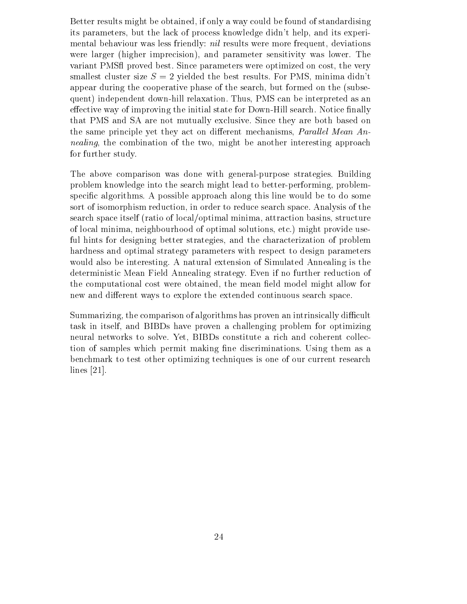Better results might be obtained if only a way could be found of standardising its parameters, but the lack of process knowledge didn't help, and its experimental behaviour was less friendly:  $nil$  results were more frequent, deviations were larger (higher imprecision), and parameter sensitivity was lower. The variant PMSfl proved best. Since parameters were optimized on cost, the very smallest cluster size  $S = 2$  yielded the best results. For PMS, minima didn't appear during the cooperative phase of the search, but formed on the (subsequent) independent down-hill relaxation. Thus, PMS can be interpreted as an effective way of improving the initial state for Down-Hill search. Notice finally that PMS and SA are not mutually exclusive. Since they are both based on the same principle yet they act on different mechanisms, *Parallel Mean An*nealing, the combination of the two, might be another interesting approach for further study

The above comparison was done with general-purpose strategies. Building problem knowledge into the search might lead to better-performing, problemspecific algorithms. A possible approach along this line would be to do some sort of isomorphism reduction in order to reduce search space Analysis of the search space itself (ratio of local/optimal minima, attraction basins, structure of local minima, neighbourhood of optimal solutions, etc.) might provide useful hints for designing better strategies and the characterization of problem hardness and optimal strategy parameters with respect to design parameters would also be interesting. A natural extension of Simulated Annealing is the deterministic Mean Field Annealing strategy Even if no further reduction of the computational cost were obtained, the mean field model might allow for new and different ways to explore the extended continuous search space.

Summarizing, the comparison of algorithms has proven an intrinsically difficult task in itself, and BIBDs have proven a challenging problem for optimizing neural networks to solve. Yet, BIBDs constitute a rich and coherent collection of samples which permit making fine discriminations. Using them as a benchmark to test other optimizing techniques is one of our current research lines and the control of the control of the control of the control of the control of the control of the control of the control of the control of the control of the control of the control of the control of the control of th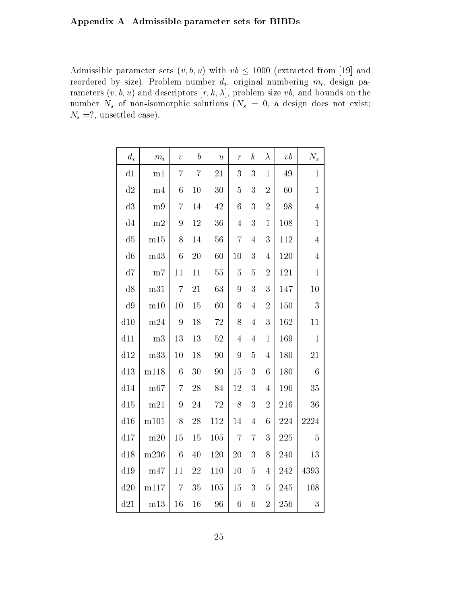## Appendix A Admissible parameter sets for BIBDs

 $\mathbf{P}$  and  $\mathbf{A}$  be used from  $\mathbf{A}$  used from  $\mathbf{A}$  and  $\mathbf{A}$  and  $\mathbf{A}$  and  $\mathbf{A}$  and  $\mathbf{A}$  and  $\mathbf{A}$  and  $\mathbf{A}$  and  $\mathbf{A}$  and  $\mathbf{A}$  and  $\mathbf{A}$  and  $\mathbf{A}$  and  $\mathbf{A}$  and  $\mathbf{A}$  an reordered by size). Problem number  $d_i$ , original numbering  $m_i$ , design parameters v b u and descriptors r k - problem size vand bounds on the bounds on the bounds on the contract on t number  $N_s$  of non-isomorphic solutions  $(N_s = 0, a$  design does not exist;  $N_s = ?$ , unsettled case).

| $d_i$       | $m_i$          | $\upsilon$       | $\boldsymbol{b}$ | $\boldsymbol{u}$ | $\bar{r}$      | $\boldsymbol{k}$ | $\lambda$      | v b     | $\mathcal{N}_s$  |
|-------------|----------------|------------------|------------------|------------------|----------------|------------------|----------------|---------|------------------|
| d1          | m1             | $\overline{7}$   | $\overline{7}$   | 21               | 3              | 3                | $\mathbf{1}$   | 49      | $\mathbf{1}$     |
| d2          | m <sub>4</sub> | 6                | $10\,$           | 30               | $\overline{5}$ | 3                | $\overline{2}$ | 60      | $\mathbf{1}$     |
| d3          | m9             | $\overline{7}$   | $14\,$           | 42               | $\sqrt{6}$     | 3                | $\overline{2}$ | 98      | $\overline{4}$   |
| d4          | m2             | $\boldsymbol{9}$ | $12\,$           | 36               | $\overline{4}$ | 3                | $\mathbf 1$    | 108     | $\mathbf{1}$     |
| d5          | $\rm m15$      | 8                | $14\,$           | 56               | $\overline{7}$ | $\overline{4}$   | 3              | 112     | $\overline{4}$   |
| d6          | m43            | $\,6$            | $20\,$           | 60               | $10\,$         | $\mathfrak{Z}$   | 4              | 120     | $\overline{4}$   |
| d7          | $\rm m7$       | 11               | 11               | $55\,$           | $\overline{5}$ | $\overline{5}$   | $\overline{2}$ | 121     | $\mathbf{1}$     |
| d8          | $\rm m31$      | $\overline{7}$   | $21\,$           | 63               | $\overline{9}$ | $\overline{3}$   | 3              | 147     | 10               |
| d9          | m10            | $10\,$           | 15               | 60               | $\,6$          | $\overline{4}$   | $\overline{2}$ | 150     | $\boldsymbol{3}$ |
| d10         | m24            | $\boldsymbol{9}$ | $18\,$           | $72\,$           | 8              | $\overline{4}$   | 3              | 162     | 11               |
| d11         | $\rm m3$       | $13\,$           | 13               | $52\,$           | $\overline{4}$ | $\overline{4}$   | $\mathbf{1}$   | 169     | $\mathbf{1}$     |
| d12         | m33            | 10               | 18               | 90               | $\overline{9}$ | $\overline{5}$   | $\overline{4}$ | 180     | $21\,$           |
| d13         | m118           | $\sqrt{6}$       | 30               | 90               | 15             | 3                | 6              | 180     | $\sqrt{6}$       |
| d14         | $\rm m67$      | $\!\!7$          | 28               | 84               | $12\,$         | $\overline{3}$   | 4              | 196     | 35               |
| d15         | $\mathrm{m}21$ | 9                | 24               | $72\,$           | $8\,$          | $\overline{3}$   | $\overline{2}$ | 216     | 36               |
| d16         | m101           | 8                | $28\,$           | 112              | 14             | $\overline{4}$   | 6              | 224     | 2224             |
| d17         | $\rm m20$      | $15\,$           | $15\,$           | $10\sqrt{5}$     | $\overline{7}$ | $\overline{7}$   | 3              | 225     | $\overline{5}$   |
| d18         | m236           | $\,6$            | 40               | 120              | $20\,$         | 3                | 8              | 240     | 13               |
| ${\rm d}19$ | $\rm m47$      | 11               | 22               | 110              | $10\,$         | $\overline{5}$   | $\overline{4}$ | 242     | 4393             |
| d20         | m117           | $\overline{7}$   | 35               | 105              | 15             | 3                | $\overline{5}$ | 245     | 108              |
| d21         | $\rm m13$      | 16               | $16\,$           | 96               | $\overline{6}$ | $\overline{6}$   | $\overline{2}$ | $256\,$ | $\overline{3}$   |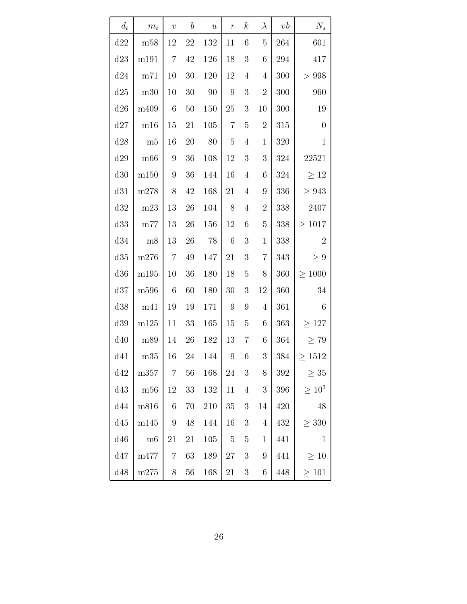| $d_i$          | $m_i$            | $\boldsymbol{v}$ | $\boldsymbol{b}$ | $\boldsymbol{u}$ | $\,r$            | $\boldsymbol{k}$ | $\lambda$        | $_{vb}$ | $\mathcal{N}_s$ |
|----------------|------------------|------------------|------------------|------------------|------------------|------------------|------------------|---------|-----------------|
| d22            | m58              | 12               | $22\,$           | 132              | 11               | 6                | $\overline{5}$   | 264     | 601             |
| d23            | m191             | $\overline{7}$   | 42               | 126              | 18               | 3                | $6\phantom{.0}$  | 294     | 417             |
| d24            | $\rm m71$        | 10               | 30               | 120              | 12               | $\overline{4}$   | 4                | 300     | > 998           |
| d25            | m30              | $10\,$           | 30               | 90               | $\boldsymbol{9}$ | 3                | $\sqrt{2}$       | 300     | 960             |
| d26            | m409             | $6\phantom{.}6$  | 50               | 150              | $25\,$           | 3                | 10               | 300     | 19              |
| $\mathrm{d}27$ | m16              | 15               | 21               | $105\,$          | $\overline{7}$   | $\bf 5$          | $\overline{2}$   | 315     | $\overline{0}$  |
| d28            | m5               | 16               | 20               | 80               | $\overline{5}$   | $\overline{4}$   | $\mathbf{1}$     | 320     | $\mathbf{1}$    |
| d29            | m66              | 9                | 36               | 108              | 12               | $\mathfrak{Z}$   | 3                | 324     | 22521           |
| d30            | m150             | $\boldsymbol{9}$ | 36               | 144              | 16               | $\overline{4}$   | $6\phantom{.0}$  | 324     | $\geq 12$       |
| d31            | m278             | $8\,$            | 42               | 168              | 21               | $\overline{4}$   | 9                | 336     | $\geq 943$      |
| $\mathrm{d}32$ | m23              | 13               | 26               | 104              | $8\,$            | $\overline{4}$   | $\sqrt{2}$       | 338     | $2407\,$        |
| d33            | m77              | 13               | 26               | 156              | 12               | $6\phantom{.}6$  | $\bf 5$          | 338     | >1017           |
| d34            | m8               | 13               | 26               | 78               | $6\phantom{.}6$  | 3                | $\mathbf 1$      | 338     | $\overline{2}$  |
| d35            | m276             | $\overline{7}$   | 49               | 147              | 21               | $\mathfrak{Z}$   | 7                | 343     | $\geq 9$        |
| d36            | m195             | $10\,$           | 36               | 180              | 18               | $\overline{5}$   | $8\,$            | 360     | $\geq 1000$     |
| $\mathrm{d}37$ | m <sub>596</sub> | $\,6\,$          | 60               | 180              | 30               | 3                | 12               | 360     | 34              |
| d38            | m41              | 19               | 19               | 171              | $\boldsymbol{9}$ | $\boldsymbol{9}$ | $\overline{4}$   | 361     | $6\phantom{.}6$ |
| d39            | m125             | 11               | 33               | 165              | 15               | $\overline{5}$   | $6\phantom{.0}$  | 363     | $\geq 127$      |
| d40            | m89              | $14\,$           | $26\,$           | 182              | 13               | $\overline{7}$   | 6                | 364     | $\geq 79$       |
| d41            | m35              | 16               | 24               | 144              | 9                | $6\phantom{.}$   | 3                | 384     | 1512<br>>       |
| d42            | m357             | 7                | 56               | 168              | 24               | $\mathbf{3}$     | 8                | 392     | $\geq 35$       |
| d43            | m56              | 12               | 33               | 132              | 11               | $\overline{4}$   | $\boldsymbol{3}$ | 396     | $\geq 10^3$     |
| d44            | m816             | $6\phantom{.}6$  | 70               | 210              | 35               | 3                | 14               | 420     | 48              |
| ${\rm d}45$    | m145             | $\boldsymbol{9}$ | 48               | 144              | 16               | $\overline{3}$   | $\overline{4}$   | 432     | $\geq 330$      |
| d46            | m6               | 21               | 21               | 105              | $\overline{5}$   | $\overline{5}$   | $\mathbf{1}$     | 441     | $\mathbf{1}$    |
| d47            | m477             | 7                | 63               | 189              | $27\,$           | 3                | 9                | 441     | $\geq 10$       |
| d48            | m275             | $\,8$            | 56               | 168              | 21               | $\mathbf{3}$     | $\!6\,$          | 448     | $\geq 101$      |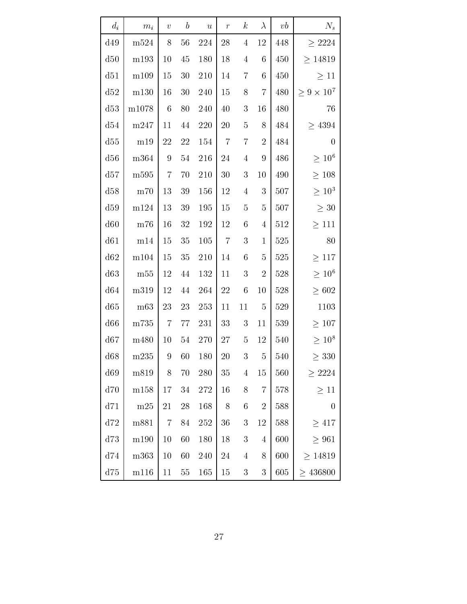| $d_i$       | $m_i$           | $\boldsymbol{v}$ | $\boldsymbol{b}$ | $\boldsymbol{u}$ | $\,r\,$        | $\boldsymbol{k}$ | $\lambda$        | $v\overline{b}$ | $N_{s}$              |
|-------------|-----------------|------------------|------------------|------------------|----------------|------------------|------------------|-----------------|----------------------|
| d49         | m524            | $8\,$            | 56               | 224              | 28             | $\overline{4}$   | 12               | 448             | $\geq 2224$          |
| d50         | $\rm m193$      | 10               | 45               | 180              | 18             | $\overline{4}$   | $6\phantom{.0}$  | 450             | $\geq 14819$         |
| d51         | m109            | 15               | 30               | 210              | 14             | $\overline{7}$   | $6\phantom{.0}$  | 450             | $\geq 11$            |
| d52         | $\rm m130$      | 16               | 30               | 240              | 15             | $\,8$            | $\overline{7}$   | 480             | $\geq 9 \times 10^7$ |
| d53         | m1078           | $6\,$            | 80               | 240              | 40             | 3                | 16               | 480             | 76                   |
| d54         | m247            | 11               | 44               | 220              | 20             | $\bf 5$          | 8                | 484             | $\geq 4394$          |
| d55         | m19             | 22               | $22\,$           | 154              | $\overline{7}$ | $\overline{7}$   | $\overline{2}$   | 484             | $\boldsymbol{0}$     |
| d56         | m364            | 9                | 54               | 216              | 24             | $\overline{4}$   | 9                | 486             | $\geq 10^6$          |
| d57         | m595            | 7                | 70               | 210              | 30             | $\mathfrak{Z}$   | 10               | 490             | $\geq$ 108           |
| d58         | m70             | 13               | 39               | 156              | 12             | $\overline{4}$   | $\boldsymbol{3}$ | 507             | $\geq 10^3$          |
| d59         | m124            | 13               | 39               | 195              | 15             | $\bf 5$          | $\overline{5}$   | 507             | $\geq 30$            |
| ${\rm d}60$ | m76             | 16               | 32               | 192              | 12             | $\!6\,$          | $\overline{4}$   | 512             | $\geq 111$           |
| d61         | m14             | 15               | 35               | 105              | $\overline{7}$ | $\mathfrak{Z}$   | $\mathbf 1$      | 525             | 80                   |
| ${\rm d}62$ | m104            | 15               | 35               | 210              | 14             | $\,6$            | $\overline{5}$   | 525             | $\geq 117$           |
| d63         | m55             | 12               | 44               | 132              | 11             | $\mathbf{3}$     | $\boldsymbol{2}$ | 528             | $\geq 10^6$          |
| ${\rm d}64$ | m319            | 12               | 44               | 264              | 22             | 6                | 10               | 528             | $\geq 602$           |
| d65         | m <sub>63</sub> | 23               | 23               | 253              | 11             | 11               | $\overline{5}$   | 529             | 1103                 |
| d66         | m735            | $\overline{7}$   | 77               | 231              | 33             | 3                | 11               | 539             | $\geq 107$           |
| ${\rm d}67$ | m480            | 10               | 54               | 270              | $27\,$         | $\overline{5}$   | 12               | 540             | $\geq 10^8$          |
| d68         | m235            | $9\phantom{.0}$  | 60               | 180              | $20\,$         | $\boldsymbol{3}$ | $\overline{5}$   | 540             | $\geq 330$           |
| d69         | m819            | 8                | 70               | 280              | 35             | $\overline{4}$   | 15               | 560             | $\geq 2224$          |
| d70         | m158            | 17               | 34               | $272\,$          | 16             | 8                | $\overline{7}$   | 578             | $\geq 11$            |
| d71         | m25             | 21               | 28               | 168              | $8\,$          | $6\phantom{.}6$  | $\boldsymbol{2}$ | 588             | $\boldsymbol{0}$     |
| d72         | m881            | $\overline{7}$   | 84               | 252              | 36             | 3                | 12               | 588             | $\geq 417$           |
| d73         | m190            | 10               | 60               | 180              | 18             | $\overline{3}$   | $\overline{4}$   | 600             | $\geq 961$           |
| d74         | m363            | 10               | 60               | 240              | 24             | $\overline{4}$   | 8                | 600             | $\geq 14819$         |
| $\rm{d}75$  | m116            | 11               | $55\,$           | 165              | 15             | $\boldsymbol{3}$ | $\boldsymbol{3}$ | 605             | $\geq 436800$        |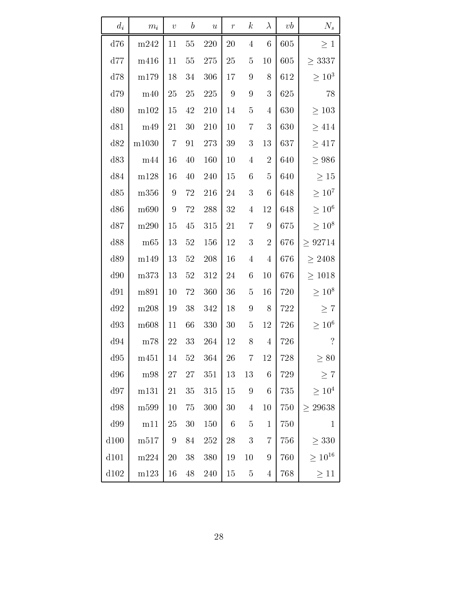| $d_i$          | $m_i$      | $\upsilon$       | $\boldsymbol{b}$ | $\boldsymbol{u}$ | $\,r\,$          | $\boldsymbol{k}$ | $\lambda$       | $_{vb}$ | $N_{s}$        |  |
|----------------|------------|------------------|------------------|------------------|------------------|------------------|-----------------|---------|----------------|--|
| d76            | m242       | 11               | 55               | 220              | 20               | $\overline{4}$   | $\sqrt{6}$      | 605     | $\geq 1$       |  |
| d77            | m416       | 11               | 55               | 275              | $25\,$           | $\bf 5$          | $10\,$          | 605     | $\geq 3337$    |  |
| d78            | m179       | 18               | 34               | 306              | 17               | 9                | 8               | 612     | $\geq 10^3$    |  |
| d79            | m40        | $25\,$           | $25\,$           | 225              | $9\phantom{.0}$  | 9                | 3               | 625     | 78             |  |
| d80            | $\rm m102$ | 15               | 42               | 210              | 14               | $\overline{5}$   | $\overline{4}$  | 630     | $\geq 103$     |  |
| d81            | m49        | 21               | 30               | 210              | 10               | 7                | 3               | 630     | $\geq 414$     |  |
| d82            | m1030      | $\overline{7}$   | 91               | 273              | 39               | $\boldsymbol{3}$ | 13              | 637     | $\geq 417$     |  |
| d83            | m44        | 16               | 40               | 160              | 10               | $\overline{4}$   | $\overline{2}$  | 640     | $\geq 986$     |  |
| d84            | m128       | 16               | 40               | 240              | 15               | 6                | 5               | 640     | $\geq 15$      |  |
| d85            | m356       | $\boldsymbol{9}$ | $72\,$           | 216              | $24\,$           | $\boldsymbol{3}$ | $6\phantom{.}6$ | 648     | $\geq 10^7$    |  |
| d86            | m690       | 9                | $72\,$           | 288              | 32               | $\overline{4}$   | 12              | 648     | $\geq 10^6$    |  |
| d87            | m290       | 15               | $\rm 45$         | 315              | 21               | 7                | $\overline{9}$  | 675     | $\geq$ $10^8$  |  |
| d88            | m65        | 13               | $52\,$           | 156              | 12               | $\boldsymbol{3}$ | $\overline{2}$  | 676     | $\geq 92714$   |  |
| d89            | m149       | 13               | $52\,$           | 208              | 16               | $\overline{4}$   | $\overline{4}$  | 676     | $\geq 2408$    |  |
| d90            | m373       | 13               | $52\,$           | 312              | $24\,$           | 6                | 10              | 676     | $\geq 1018$    |  |
| d91            | m891       | 10               | $72\,$           | 360              | 36               | $5\,$            | 16              | 720     | $\geq 10^8$    |  |
| $\rm{d}92$     | $\rm m208$ | 19               | 38               | 342              | 18               | 9                | $8\,$           | 722     | $\geq 7$       |  |
| ${\rm d}93$    | m608       | 11               | 66               | 330              | 30               | $\overline{5}$   | 12              | 726     | $\geq 10^6$    |  |
| $\mathrm{d}94$ | $\rm m78$  | $22\,$           | 33               | 264              | $12\,$           | $\,8$            | $\overline{4}$  | 726     | $\overline{?}$ |  |
| d95            | m451       | 14               | 52               | 364              | 26               | $\overline{7}$   | $12\,$          | $728\,$ | $\geq 80$      |  |
| d96            | $\rm m98$  | 27               | $27\,$           | $3\sqrt{51}$     | 13               | 13               | $6\phantom{.}6$ | 729     | $\geq 7$       |  |
| d97            | m131       | 21               | 35               | 315              | 15               | 9                | 6               | 735     | $\geq 10^4$    |  |
| d98            | m599       | 10               | 75               | 300              | 30               | $\overline{4}$   | 10              | 750     | $\geq 29638$   |  |
| d99            | m11        | 25               | 30               | 150              | $\boldsymbol{6}$ | $\overline{5}$   | $\mathbf{1}$    | 750     | $\mathbf{1}$   |  |
| d100           | m517       | 9                | 84               | 252              | 28               | $\boldsymbol{3}$ | $\overline{7}$  | 756     | $\geq 330$     |  |
| d101           | m224       | 20               | 38               | 380              | 19               | 10               | 9               | 760     | $\geq 10^{16}$ |  |
| d102           | m123       | 16               | 48               | 240              | 15               | $\overline{5}$   | $\overline{4}$  | 768     | $\geq 11$      |  |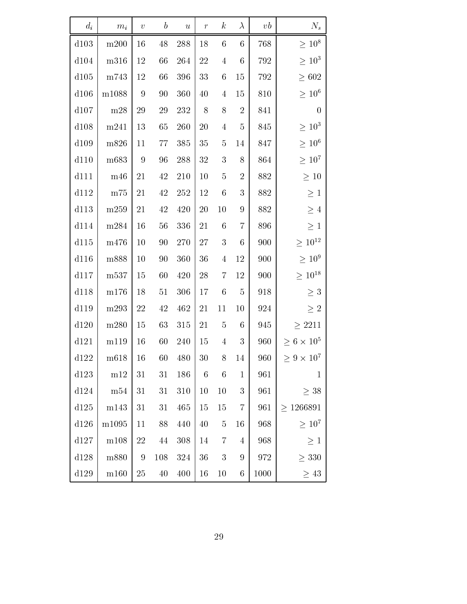| $d_i$ | $m_i$            | $\upsilon$       | $\boldsymbol{b}$ | $\boldsymbol{u}$ | $\,r\,$         | $\boldsymbol{k}$ | $\lambda$        | $v_{\boldsymbol{b}}$ | $N_{s}$              |  |
|-------|------------------|------------------|------------------|------------------|-----------------|------------------|------------------|----------------------|----------------------|--|
| d103  | m200             | 16               | 48               | 288              | 18              | 6                | $6\phantom{.}6$  | 768                  | $\geq$ $10^8$        |  |
| d104  | m316             | 12               | 66               | 264              | 22              | $\overline{4}$   | 6                | 792                  | $\geq 10^3$          |  |
| d105  | m743             | 12               | 66               | 396              | 33              | 6                | 15               | 792                  | $\geq 602$           |  |
| d106  | $\rm m1088$      | 9                | 90               | 360              | 40              | $\overline{4}$   | 15               | 810                  | $\geq 10^6$          |  |
| d107  | m28              | 29               | 29               | 232              | $8\,$           | 8                | $\sqrt{2}$       | 841                  | $\overline{0}$       |  |
| d108  | m241             | 13               | 65               | 260              | 20              | $\overline{4}$   | $\overline{5}$   | 845                  | $\geq$ $10^3$        |  |
| d109  | $\rm m826$       | 11               | 77               | 385              | 35              | $\overline{5}$   | $14\,$           | 847                  | $\geq 10^6$          |  |
| d110  | m683             | $\boldsymbol{9}$ | 96               | 288              | $32\,$          | 3                | $8\,$            | 864                  | $\geq 10^7$          |  |
| d111  | m46              | 21               | $42\,$           | 210              | 10              | $\bf 5$          | $\overline{2}$   | 882                  | $\geq 10$            |  |
| d112  | m75              | 21               | 42               | 252              | 12              | $6\phantom{.}6$  | $\mathbf{3}$     | 882                  | $\geq 1$             |  |
| d113  | m259             | 21               | 42               | 420              | <b>20</b>       | $10\,$           | $\boldsymbol{9}$ | 882                  | $\geq 4$             |  |
| d114  | $\rm m284$       | 16               | 56               | 336              | 21              | $6\phantom{.}6$  | $\overline{7}$   | 896                  | $\geq 1$             |  |
| d115  | m476             | $10\,$           | 90               | 270              | $27\,$          | 3                | $\sqrt{6}$       | 900                  | $\geq 10^{12}$       |  |
| d116  | m888             | 10               | 90               | 360              | 36              | $\overline{4}$   | 12               | 900                  | $\geq 10^9$          |  |
| d117  | m537             | 15               | 60               | 420              | 28              | $\overline{7}$   | 12               | 900                  | $\geq 10^{18}$       |  |
| d118  | m176             | 18               | $51\,$           | 306              | 17              | $\sqrt{6}$       | $\overline{5}$   | 918                  | $\geq 3$             |  |
| d119  | m293             | 22               | 42               | 462              | 21              | 11               | 10               | 924                  | $\geq 2$             |  |
| d120  | m280             | 15               | 63               | 315              | 21              | $\overline{5}$   | $6\phantom{.}6$  | 945                  | $\geq 2211$          |  |
| d121  | $\rm m119$       | 16               | 60               | 240              | 15              | $\overline{4}$   | $\mathbf{3}$     | 960                  | $\geq 6 \times 10^5$ |  |
| d122  | m <sub>618</sub> | $\mid$ 16        | $60\,$           | 480              | 30 <sup>°</sup> |                  | 8 14             | 960                  | $\geq 9 \times 10^7$ |  |
| d123  | $\rm m12$        | 31               | 31               | 186              | $\,6$           | $\,6$            | $\mathbf{1}$     | 961                  | $\mathbf{1}$         |  |
| d124  | m54              | 31               | 31               | 310              | 10              | 10               | 3                | 961                  | $\geq$ 38            |  |
| d125  | m143             | 31               | 31               | 465              | 15              | 15               | $\overline{7}$   | 961                  | $\geq 1266891$       |  |
| d126  | m1095            | 11               | 88               | 440              | 40              | $\overline{5}$   | 16               | 968                  | $\geq 10^7$          |  |
| d127  | $\rm m108$       | 22               | $\rm 44$         | 308              | 14              | $\overline{7}$   | $\overline{4}$   | 968                  | $\geq 1$             |  |
| d128  | m880             | $\boldsymbol{9}$ | 108              | 324              | 36              | 3                | $\boldsymbol{9}$ | 972                  | $\geq 330$           |  |
| d129  | m160             | $25\,$           | $40\,$           | 400              | 16              | 10               | $6\,$            | 1000                 | $\geq 43$            |  |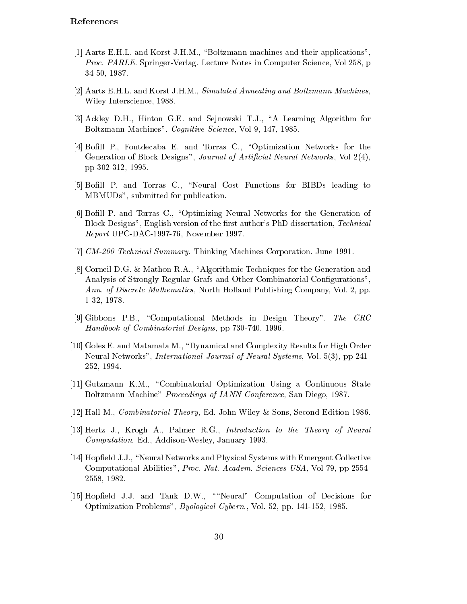- [1] Aarts E.H.L. and Korst J.H.M., "Boltzmann machines and their applications", *Proc. PARLE.* Springer-Verlag. Lecture Notes in Computer Science, Vol  $258$ , p 34-50, 1987.
- [2] Aarts E.H.L. and Korst J.H.M., Simulated Annealing and Boltzmann Machines, Wiley Interscience, 1988.
- [3] Ackley D.H., Hinton G.E. and Sejnowski T.J., "A Learning Algorithm for Boltzmann Machines", Cognitive Science, Vol 9, 147, 1985.
- [4] Bofill P., Fontdecaba E. and Torras C., "Optimization Networks for the Generation of Block Designs Journal of Articial Networks Volton Articial Networks Vol. 1994 pp 302-312, 1995.
- [5] Bofill P. and Torras C., "Neural Cost Functions for BIBDs leading to MBMUDs", submitted for publication.
- [6] Bofill P. and Torras C., "Optimizing Neural Networks for the Generation of Block Designs", English version of the first author's PhD dissertation, Technical Report UPC-DAC-1997-76, November 1997.
- [7] CM-200 Technical Summary. Thinking Machines Corporation. June 1991.
- [8] Corneil D.G. & Mathon R.A., "Algorithmic Techniques for the Generation and Analysis of Strongly Regular Grafs and Other Combinatorial Configurations". Ann. of Discrete Mathematics, North Holland Publishing Company, Vol. 2, pp.  $1-32, 1978.$
- [9] Gibbons P.B., "Computational Methods in Design Theory", The CRC Handbook of Combinatorial Designs, pp 730-740, 1996.
- [10] Goles E. and Matamala M., "Dynamical and Complexity Results for High Order neural networks in the second second of the Neural Systems Volgovolle Systems International Systems Internation 252, 1994.
- [11] Gutzmann K.M., "Combinatorial Optimization Using a Continuous State Boltzmann Machine" Proceedings of IANN Conference, San Diego, 1987.
- [12] Hall M., *Combinatorial Theory*, Ed. John Wiley & Sons, Second Edition 1986.
- [13] Hertz J., Krogh A., Palmer R.G., Introduction to the Theory of Neural Computation, Ed., Addison-Wesley, January 1993.
- [14] Hopfield J.J., "Neural Networks and Physical Systems with Emergent Collective Computational Abilities", Proc. Nat. Academ. Sciences USA, Vol 79, pp 2554-2558, 1982.
- [15] Hopfield J.J. and Tank D.W., ""Neural" Computation of Decisions for Optimization Problems", *Byological Cybern.*, Vol. 52, pp. 141-152, 1985.